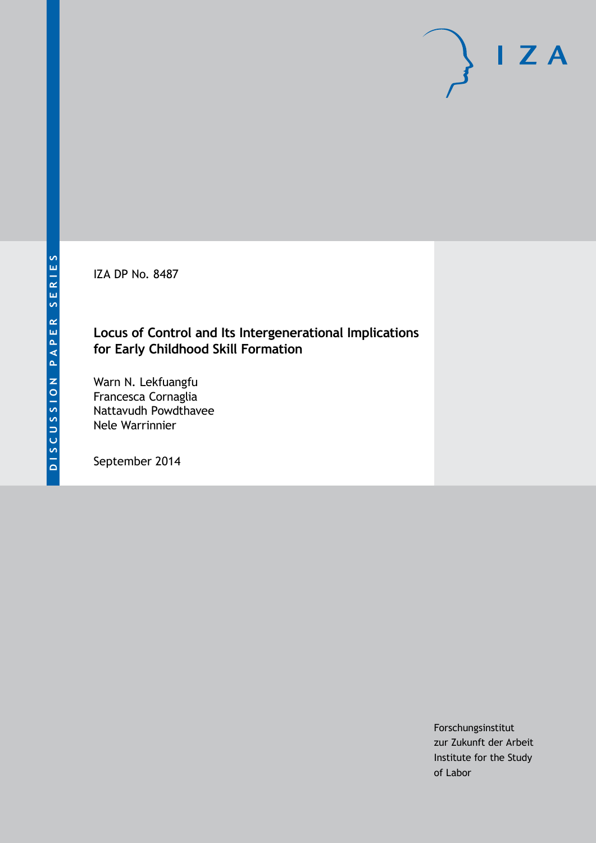IZA DP No. 8487

### **Locus of Control and Its Intergenerational Implications for Early Childhood Skill Formation**

Warn N. Lekfuangfu Francesca Cornaglia Nattavudh Powdthavee Nele Warrinnier

September 2014

Forschungsinstitut zur Zukunft der Arbeit Institute for the Study of Labor

 $I Z A$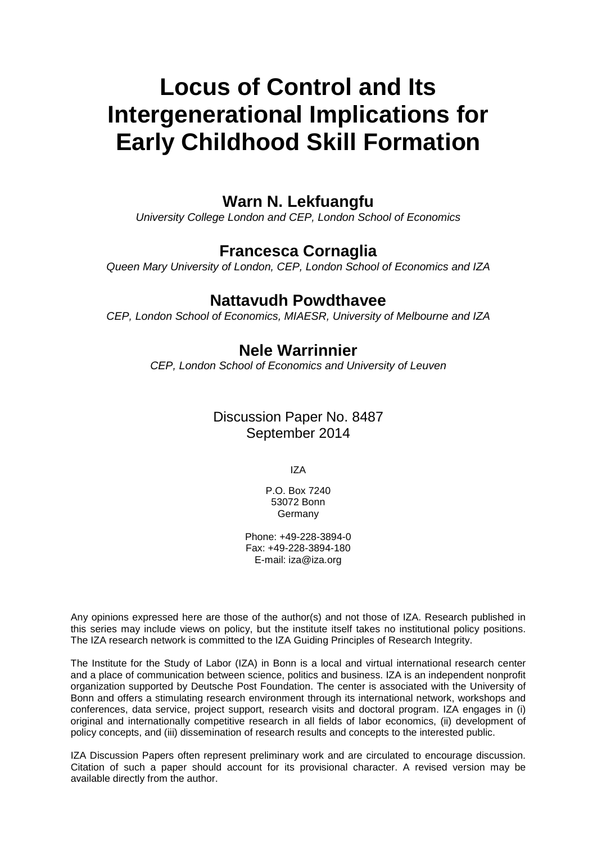# **Locus of Control and Its Intergenerational Implications for Early Childhood Skill Formation**

## **Warn N. Lekfuangfu**

*University College London and CEP, London School of Economics*

## **Francesca Cornaglia**

*Queen Mary University of London, CEP, London School of Economics and IZA*

### **Nattavudh Powdthavee**

*CEP, London School of Economics, MIAESR, University of Melbourne and IZA*

## **Nele Warrinnier**

*CEP, London School of Economics and University of Leuven*

## Discussion Paper No. 8487 September 2014

IZA

P.O. Box 7240 53072 Bonn Germany

Phone: +49-228-3894-0 Fax: +49-228-3894-180 E-mail: [iza@iza.org](mailto:iza@iza.org)

Any opinions expressed here are those of the author(s) and not those of IZA. Research published in this series may include views on policy, but the institute itself takes no institutional policy positions. The IZA research network is committed to the IZA Guiding Principles of Research Integrity.

The Institute for the Study of Labor (IZA) in Bonn is a local and virtual international research center and a place of communication between science, politics and business. IZA is an independent nonprofit organization supported by Deutsche Post Foundation. The center is associated with the University of Bonn and offers a stimulating research environment through its international network, workshops and conferences, data service, project support, research visits and doctoral program. IZA engages in (i) original and internationally competitive research in all fields of labor economics, (ii) development of policy concepts, and (iii) dissemination of research results and concepts to the interested public.

IZA Discussion Papers often represent preliminary work and are circulated to encourage discussion. Citation of such a paper should account for its provisional character. A revised version may be available directly from the author.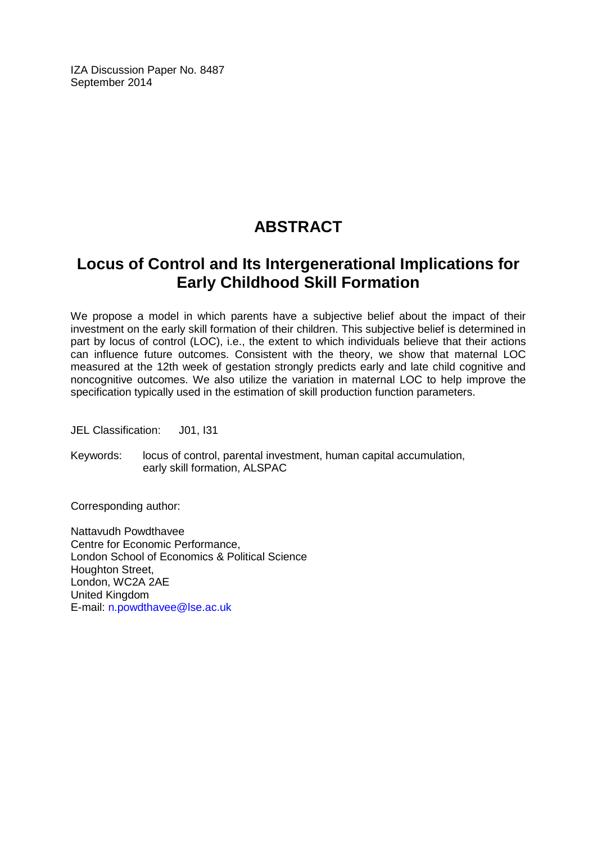IZA Discussion Paper No. 8487 September 2014

## **ABSTRACT**

## **Locus of Control and Its Intergenerational Implications for Early Childhood Skill Formation**

We propose a model in which parents have a subjective belief about the impact of their investment on the early skill formation of their children. This subjective belief is determined in part by locus of control (LOC), i.e., the extent to which individuals believe that their actions can influence future outcomes. Consistent with the theory, we show that maternal LOC measured at the 12th week of gestation strongly predicts early and late child cognitive and noncognitive outcomes. We also utilize the variation in maternal LOC to help improve the specification typically used in the estimation of skill production function parameters.

JEL Classification: J01, I31

Keywords: locus of control, parental investment, human capital accumulation, early skill formation, ALSPAC

Corresponding author:

Nattavudh Powdthavee Centre for Economic Performance, London School of Economics & Political Science Houghton Street, London, WC2A 2AE United Kingdom E-mail: [n.powdthavee@lse.ac.uk](mailto:n.powdthavee@lse.ac.uk)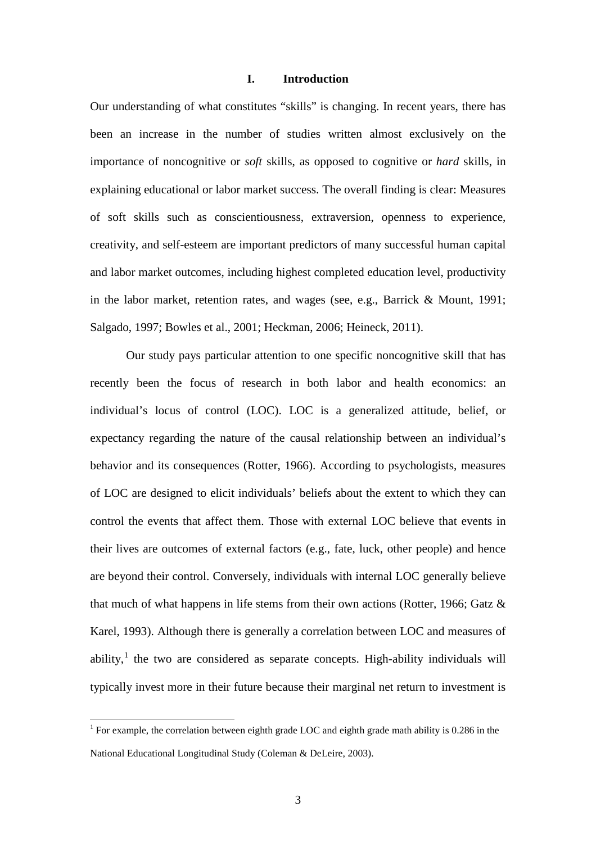### **I. Introduction**

Our understanding of what constitutes "skills" is changing. In recent years, there has been an increase in the number of studies written almost exclusively on the importance of noncognitive or *soft* skills, as opposed to cognitive or *hard* skills, in explaining educational or labor market success. The overall finding is clear: Measures of soft skills such as conscientiousness, extraversion, openness to experience, creativity, and self-esteem are important predictors of many successful human capital and labor market outcomes, including highest completed education level, productivity in the labor market, retention rates, and wages (see, e.g., Barrick & Mount, 1991; Salgado, 1997; Bowles et al., 2001; Heckman, 2006; Heineck, 2011).

<span id="page-3-0"></span>Our study pays particular attention to one specific noncognitive skill that has recently been the focus of research in both labor and health economics: an individual's locus of control (LOC). LOC is a generalized attitude, belief, or expectancy regarding the nature of the causal relationship between an individual's behavior and its consequences (Rotter, 1966). According to psychologists, measures of LOC are designed to elicit individuals' beliefs about the extent to which they can control the events that affect them. Those with external LOC believe that events in their lives are outcomes of external factors (e.g., fate, luck, other people) and hence are beyond their control. Conversely, individuals with internal LOC generally believe that much of what happens in life stems from their own actions (Rotter, 1966; Gatz & Karel, 1993). Although there is generally a correlation between LOC and measures of ability, $\frac{1}{x}$  the two are considered as separate concepts. High-ability individuals will typically invest more in their future because their marginal net return to investment is

<sup>&</sup>lt;sup>1</sup> For example, the correlation between eighth grade LOC and eighth grade math ability is 0.286 in the National Educational Longitudinal Study (Coleman & DeLeire, 2003).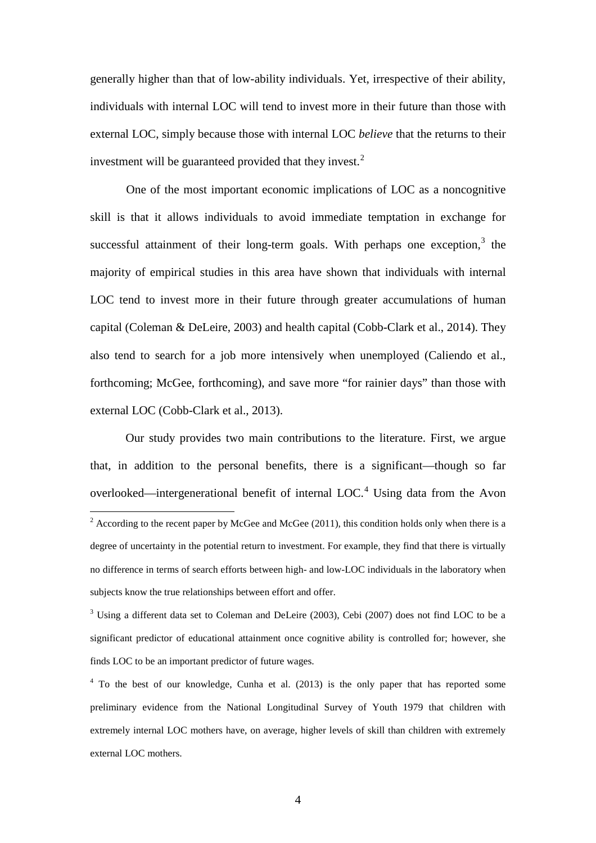generally higher than that of low-ability individuals. Yet, irrespective of their ability, individuals with internal LOC will tend to invest more in their future than those with external LOC, simply because those with internal LOC *believe* that the returns to their investment will be guaranteed provided that they invest.<sup>[2](#page-3-0)</sup>

One of the most important economic implications of LOC as a noncognitive skill is that it allows individuals to avoid immediate temptation in exchange for successful attainment of their long-term goals. With perhaps one exception, $3$  the majority of empirical studies in this area have shown that individuals with internal LOC tend to invest more in their future through greater accumulations of human capital (Coleman & DeLeire, 2003) and health capital (Cobb-Clark et al., 2014). They also tend to search for a job more intensively when unemployed (Caliendo et al., forthcoming; McGee, forthcoming), and save more "for rainier days" than those with external LOC (Cobb-Clark et al., 2013).

Our study provides two main contributions to the literature. First, we argue that, in addition to the personal benefits, there is a significant—though so far overlooked—intergenerational benefit of internal  $LOC<sup>4</sup>$  $LOC<sup>4</sup>$  $LOC<sup>4</sup>$  Using data from the Avon  $2$  According to the recent paper by McGee and McGee (2011), this condition holds only when there is a degree of uncertainty in the potential return to investment. For example, they find that there is virtually no difference in terms of search efforts between high- and low-LOC individuals in the laboratory when subjects know the true relationships between effort and offer.

<span id="page-4-0"></span><sup>&</sup>lt;sup>3</sup> Using a different data set to Coleman and DeLeire (2003), Cebi (2007) does not find LOC to be a significant predictor of educational attainment once cognitive ability is controlled for; however, she finds LOC to be an important predictor of future wages.

<span id="page-4-2"></span><span id="page-4-1"></span><sup>&</sup>lt;sup>4</sup> To the best of our knowledge, Cunha et al. (2013) is the only paper that has reported some preliminary evidence from the National Longitudinal Survey of Youth 1979 that children with extremely internal LOC mothers have, on average, higher levels of skill than children with extremely external LOC mothers.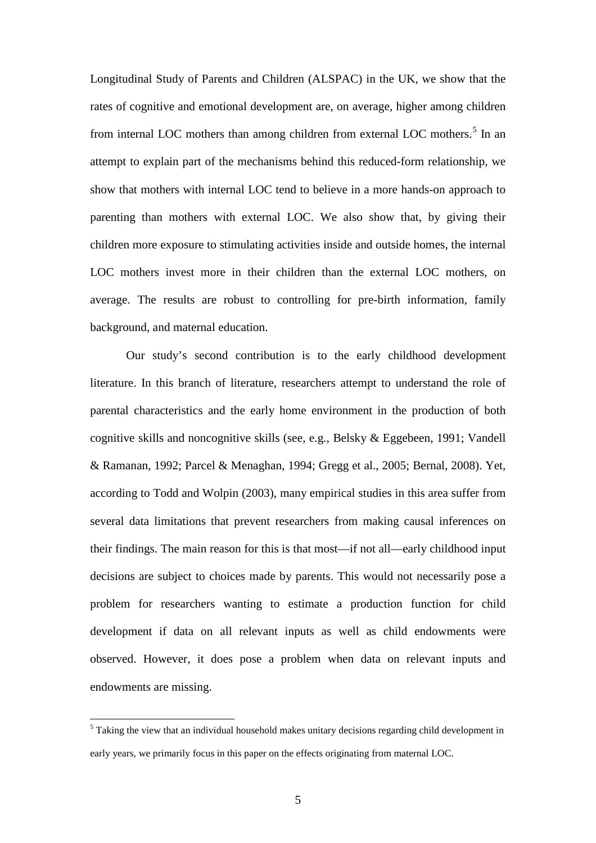Longitudinal Study of Parents and Children (ALSPAC) in the UK, we show that the rates of cognitive and emotional development are, on average, higher among children from internal LOC mothers than among children from external LOC mothers.<sup>[5](#page-4-2)</sup> In an attempt to explain part of the mechanisms behind this reduced-form relationship, we show that mothers with internal LOC tend to believe in a more hands-on approach to parenting than mothers with external LOC. We also show that, by giving their children more exposure to stimulating activities inside and outside homes, the internal LOC mothers invest more in their children than the external LOC mothers, on average. The results are robust to controlling for pre-birth information, family background, and maternal education.

Our study's second contribution is to the early childhood development literature. In this branch of literature, researchers attempt to understand the role of parental characteristics and the early home environment in the production of both cognitive skills and noncognitive skills (see, e.g., Belsky & Eggebeen, 1991; Vandell & Ramanan, 1992; Parcel & Menaghan, 1994; Gregg et al., 2005; Bernal, 2008). Yet, according to Todd and Wolpin (2003), many empirical studies in this area suffer from several data limitations that prevent researchers from making causal inferences on their findings. The main reason for this is that most—if not all—early childhood input decisions are subject to choices made by parents. This would not necessarily pose a problem for researchers wanting to estimate a production function for child development if data on all relevant inputs as well as child endowments were observed. However, it does pose a problem when data on relevant inputs and endowments are missing.

<span id="page-5-0"></span> $<sup>5</sup>$  Taking the view that an individual household makes unitary decisions regarding child development in</sup> early years, we primarily focus in this paper on the effects originating from maternal LOC.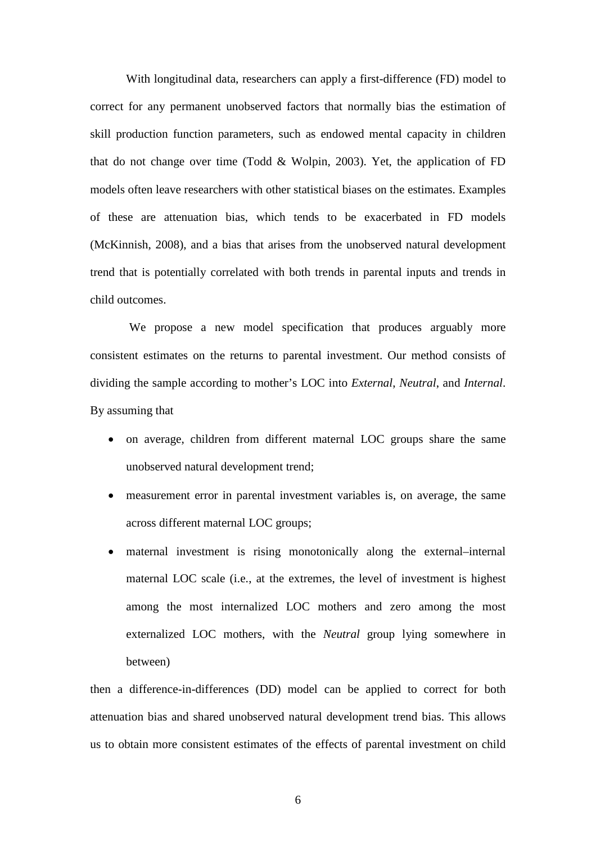With longitudinal data, researchers can apply a first-difference (FD) model to correct for any permanent unobserved factors that normally bias the estimation of skill production function parameters, such as endowed mental capacity in children that do not change over time (Todd & Wolpin, 2003). Yet, the application of FD models often leave researchers with other statistical biases on the estimates. Examples of these are attenuation bias, which tends to be exacerbated in FD models (McKinnish, 2008), and a bias that arises from the unobserved natural development trend that is potentially correlated with both trends in parental inputs and trends in child outcomes.

We propose a new model specification that produces arguably more consistent estimates on the returns to parental investment. Our method consists of dividing the sample according to mother's LOC into *External*, *Neutral*, and *Internal*. By assuming that

- on average, children from different maternal LOC groups share the same unobserved natural development trend;
- measurement error in parental investment variables is, on average, the same across different maternal LOC groups;
- maternal investment is rising monotonically along the external–internal maternal LOC scale (i.e., at the extremes, the level of investment is highest among the most internalized LOC mothers and zero among the most externalized LOC mothers, with the *Neutral* group lying somewhere in between)

then a difference-in-differences (DD) model can be applied to correct for both attenuation bias and shared unobserved natural development trend bias. This allows us to obtain more consistent estimates of the effects of parental investment on child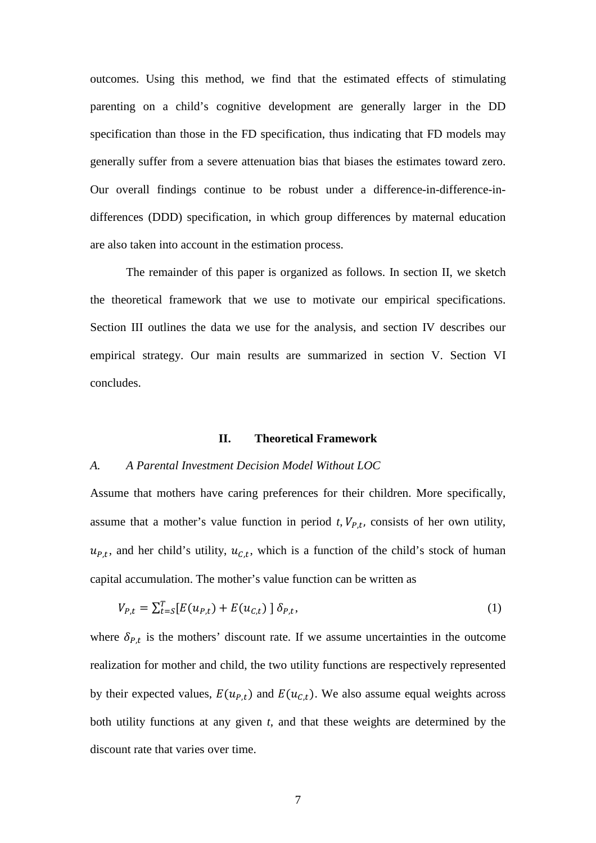outcomes. Using this method, we find that the estimated effects of stimulating parenting on a child's cognitive development are generally larger in the DD specification than those in the FD specification, thus indicating that FD models may generally suffer from a severe attenuation bias that biases the estimates toward zero. Our overall findings continue to be robust under a difference-in-difference-indifferences (DDD) specification, in which group differences by maternal education are also taken into account in the estimation process.

The remainder of this paper is organized as follows. In section II, we sketch the theoretical framework that we use to motivate our empirical specifications. Section III outlines the data we use for the analysis, and section IV describes our empirical strategy. Our main results are summarized in section V. Section VI concludes.

### **II. Theoretical Framework**

### *A. A Parental Investment Decision Model Without LOC*

Assume that mothers have caring preferences for their children. More specifically, assume that a mother's value function in period  $t$ ,  $V_{P,t}$ , consists of her own utility,  $u_{P,t}$ , and her child's utility,  $u_{C,t}$ , which is a function of the child's stock of human capital accumulation. The mother's value function can be written as

$$
V_{P,t} = \sum_{t=5}^{T} [E(u_{P,t}) + E(u_{C,t})] \, \delta_{P,t},\tag{1}
$$

where  $\delta_{P,t}$  is the mothers' discount rate. If we assume uncertainties in the outcome realization for mother and child, the two utility functions are respectively represented by their expected values,  $E(u_{P,t})$  and  $E(u_{C,t})$ . We also assume equal weights across both utility functions at any given *t*, and that these weights are determined by the discount rate that varies over time.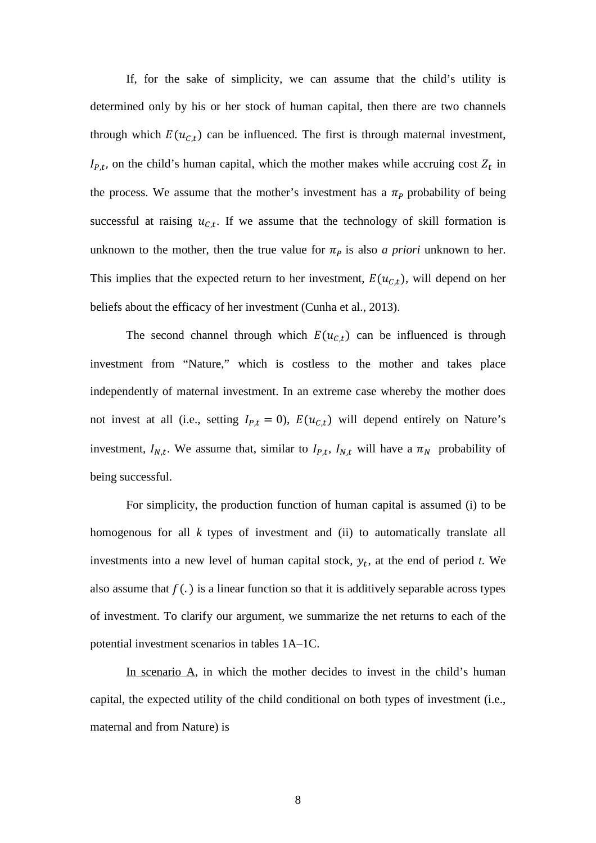If, for the sake of simplicity, we can assume that the child's utility is determined only by his or her stock of human capital, then there are two channels through which  $E(u_{c,t})$  can be influenced. The first is through maternal investment,  $I_{P,t}$ , on the child's human capital, which the mother makes while accruing cost  $Z_t$  in the process. We assume that the mother's investment has a  $\pi_p$  probability of being successful at raising  $u_{c,t}$ . If we assume that the technology of skill formation is unknown to the mother, then the true value for  $\pi_p$  is also *a priori* unknown to her. This implies that the expected return to her investment,  $E(u_{C,t})$ , will depend on her beliefs about the efficacy of her investment (Cunha et al., 2013).

The second channel through which  $E(u_{c,t})$  can be influenced is through investment from "Nature," which is costless to the mother and takes place independently of maternal investment. In an extreme case whereby the mother does not invest at all (i.e., setting  $I_{P,t} = 0$ ),  $E(u_{C,t})$  will depend entirely on Nature's investment,  $I_{N,t}$ . We assume that, similar to  $I_{P,t}$ ,  $I_{N,t}$  will have a  $\pi_N$  probability of being successful.

For simplicity, the production function of human capital is assumed (i) to be homogenous for all *k* types of investment and (ii) to automatically translate all investments into a new level of human capital stock,  $y_t$ , at the end of period *t*. We also assume that  $f(.)$  is a linear function so that it is additively separable across types of investment. To clarify our argument, we summarize the net returns to each of the potential investment scenarios in tables 1A–1C.

In scenario A, in which the mother decides to invest in the child's human capital, the expected utility of the child conditional on both types of investment (i.e., maternal and from Nature) is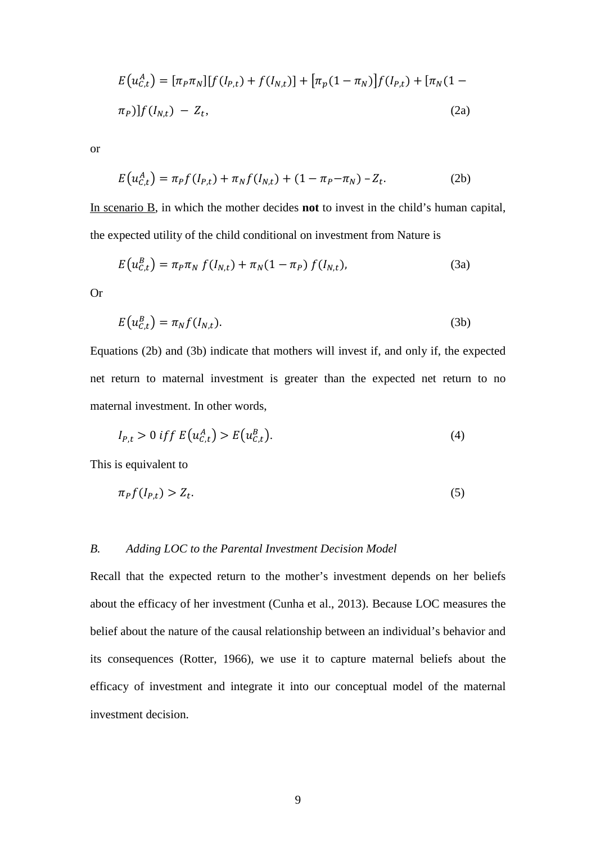$$
E(u_{C,t}^{A}) = [\pi_{P}\pi_{N}][f(I_{P,t}) + f(I_{N,t})] + [\pi_{p}(1 - \pi_{N})]f(I_{P,t}) + [\pi_{N}(1 - \pi_{P})]f(I_{N,t}) - Z_{t},
$$
\n(2a)

or

$$
E(u_{C,t}^A) = \pi_P f(I_{P,t}) + \pi_N f(I_{N,t}) + (1 - \pi_P - \pi_N) - Z_t.
$$
 (2b)

In scenario B, in which the mother decides **not** to invest in the child's human capital, the expected utility of the child conditional on investment from Nature is

$$
E(u_{C,t}^{B}) = \pi_{P}\pi_{N} f(I_{N,t}) + \pi_{N}(1 - \pi_{P}) f(I_{N,t}),
$$
\n(3a)

Or

$$
E(u_{C,t}^B) = \pi_N f(I_{N,t}).
$$
\n(3b)

Equations (2b) and (3b) indicate that mothers will invest if, and only if, the expected net return to maternal investment is greater than the expected net return to no maternal investment. In other words,

$$
I_{P,t} > 0 \iff E\left(u_{C,t}^A\right) > E\left(u_{C,t}^B\right). \tag{4}
$$

This is equivalent to

 $\sim$   $\sim$ 

$$
\pi_P f(l_{P,t}) > Z_t. \tag{5}
$$

### *B. Adding LOC to the Parental Investment Decision Model*

Recall that the expected return to the mother's investment depends on her beliefs about the efficacy of her investment (Cunha et al., 2013). Because LOC measures the belief about the nature of the causal relationship between an individual's behavior and its consequences (Rotter, 1966), we use it to capture maternal beliefs about the efficacy of investment and integrate it into our conceptual model of the maternal investment decision.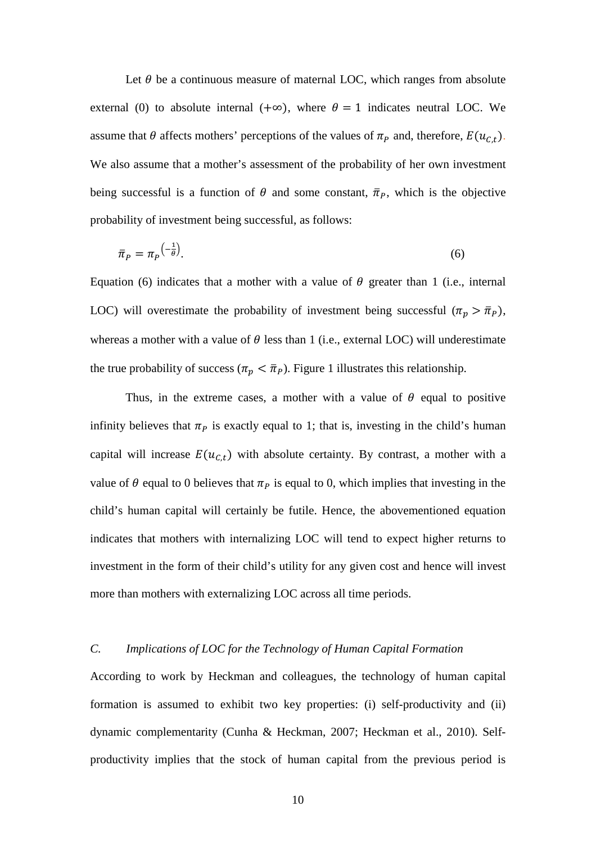Let  $\theta$  be a continuous measure of maternal LOC, which ranges from absolute external (0) to absolute internal (+∞), where  $\theta = 1$  indicates neutral LOC. We assume that  $\theta$  affects mothers' perceptions of the values of  $\pi_p$  and, therefore,  $E(u_{C,t})$ . We also assume that a mother's assessment of the probability of her own investment being successful is a function of  $\theta$  and some constant,  $\bar{\pi}_P$ , which is the objective probability of investment being successful, as follows:

$$
\bar{\pi}_P = \pi_P^{\left(-\frac{1}{\theta}\right)}.\tag{6}
$$

Equation (6) indicates that a mother with a value of  $\theta$  greater than 1 (i.e., internal LOC) will overestimate the probability of investment being successful  $(\pi_p > \bar{\pi}_p)$ , whereas a mother with a value of  $\theta$  less than 1 (i.e., external LOC) will underestimate the true probability of success ( $\pi_p < \bar{\pi}_p$ ). Figure 1 illustrates this relationship.

Thus, in the extreme cases, a mother with a value of  $\theta$  equal to positive infinity believes that  $\pi_P$  is exactly equal to 1; that is, investing in the child's human capital will increase  $E(u_{c,t})$  with absolute certainty. By contrast, a mother with a value of  $\theta$  equal to 0 believes that  $\pi_p$  is equal to 0, which implies that investing in the child's human capital will certainly be futile. Hence, the abovementioned equation indicates that mothers with internalizing LOC will tend to expect higher returns to investment in the form of their child's utility for any given cost and hence will invest more than mothers with externalizing LOC across all time periods.

### *C. Implications of LOC for the Technology of Human Capital Formation*

According to work by Heckman and colleagues, the technology of human capital formation is assumed to exhibit two key properties: (i) self-productivity and (ii) dynamic complementarity (Cunha & Heckman, 2007; Heckman et al., 2010). Selfproductivity implies that the stock of human capital from the previous period is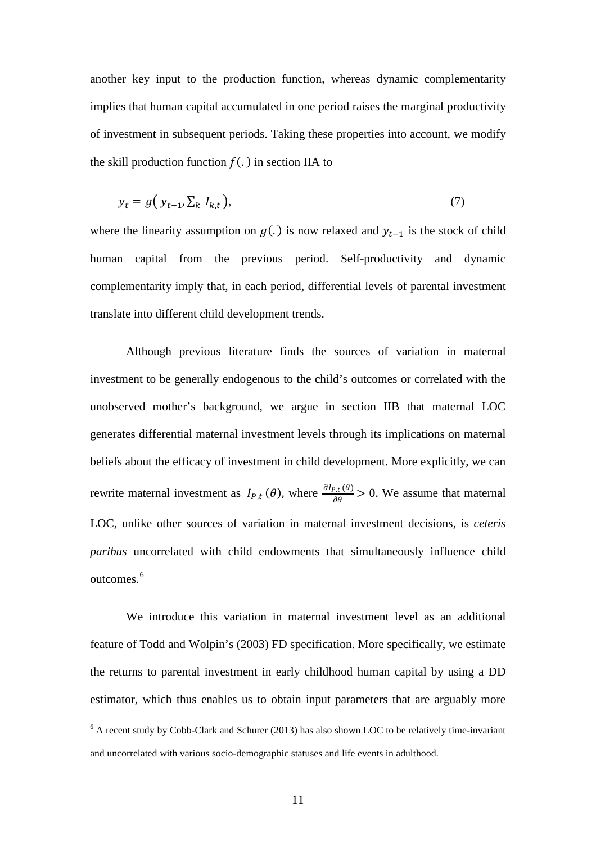another key input to the production function, whereas dynamic complementarity implies that human capital accumulated in one period raises the marginal productivity of investment in subsequent periods. Taking these properties into account, we modify the skill production function  $f(.)$  in section IIA to

$$
y_t = g\left(y_{t-1}, \sum_k I_{k,t}\right),\tag{7}
$$

where the linearity assumption on  $g(.)$  is now relaxed and  $y_{t-1}$  is the stock of child human capital from the previous period. Self-productivity and dynamic complementarity imply that, in each period, differential levels of parental investment translate into different child development trends.

Although previous literature finds the sources of variation in maternal investment to be generally endogenous to the child's outcomes or correlated with the unobserved mother's background, we argue in section IIB that maternal LOC generates differential maternal investment levels through its implications on maternal beliefs about the efficacy of investment in child development. More explicitly, we can rewrite maternal investment as  $I_{P,t}(\theta)$ , where  $\frac{\partial I_{P,t}(\theta)}{\partial \theta} > 0$ . We assume that maternal LOC, unlike other sources of variation in maternal investment decisions, is *ceteris paribus* uncorrelated with child endowments that simultaneously influence child outcomes.<sup>[6](#page-5-0)</sup>

We introduce this variation in maternal investment level as an additional feature of Todd and Wolpin's (2003) FD specification. More specifically, we estimate the returns to parental investment in early childhood human capital by using a DD estimator, which thus enables us to obtain input parameters that are arguably more

<span id="page-11-0"></span><sup>&</sup>lt;sup>6</sup> A recent study by Cobb-Clark and Schurer (2013) has also shown LOC to be relatively time-invariant and uncorrelated with various socio-demographic statuses and life events in adulthood.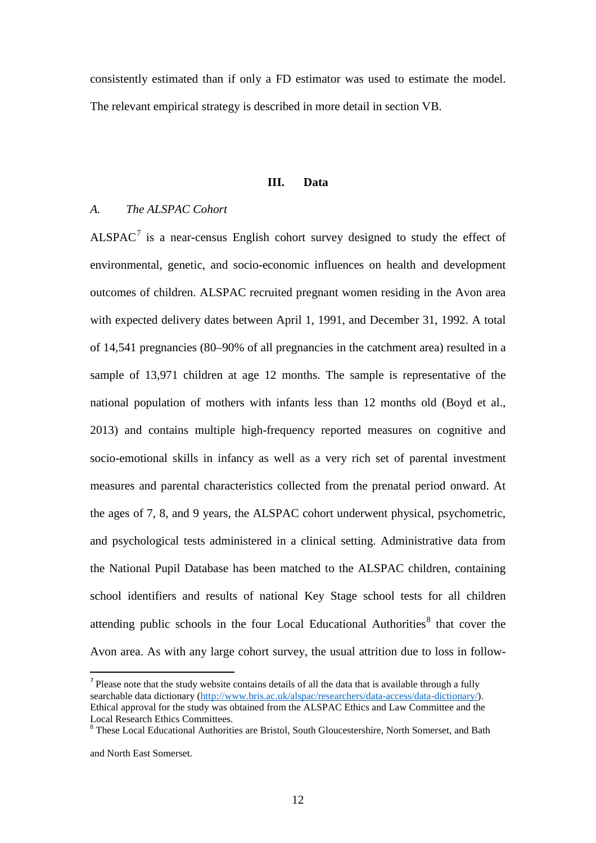consistently estimated than if only a FD estimator was used to estimate the model. The relevant empirical strategy is described in more detail in section VB.

### **III. Data**

### *A. The ALSPAC Cohort*

 $ALSPACE<sup>7</sup>$  $ALSPACE<sup>7</sup>$  $ALSPACE<sup>7</sup>$  is a near-census English cohort survey designed to study the effect of environmental, genetic, and socio-economic influences on health and development outcomes of children. ALSPAC recruited pregnant women residing in the Avon area with expected delivery dates between April 1, 1991, and December 31, 1992. A total of 14,541 pregnancies (80–90% of all pregnancies in the catchment area) resulted in a sample of 13,971 children at age 12 months. The sample is representative of the national population of mothers with infants less than 12 months old (Boyd et al., 2013) and contains multiple high-frequency reported measures on cognitive and socio-emotional skills in infancy as well as a very rich set of parental investment measures and parental characteristics collected from the prenatal period onward. At the ages of 7, 8, and 9 years, the ALSPAC cohort underwent physical, psychometric, and psychological tests administered in a clinical setting. Administrative data from the National Pupil Database has been matched to the ALSPAC children, containing school identifiers and results of national Key Stage school tests for all children attending public schools in the four Local Educational Authorities $8$  that cover the Avon area. As with any large cohort survey, the usual attrition due to loss in follow-

<span id="page-12-1"></span> $<sup>7</sup>$  Please note that the study website contains details of all the data that is available through a fully</sup> searchable data dictionary [\(http://www.bris.ac.uk/alspac/researchers/data-access/data-dictionary/\)](http://www.bris.ac.uk/alspac/researchers/data-access/data-dictionary/). Ethical approval for the study was obtained from the ALSPAC Ethics and Law Committee and the Local Research Ethics Committees.

<span id="page-12-0"></span><sup>8</sup> These Local Educational Authorities are Bristol, South Gloucestershire, North Somerset, and Bath

and North East Somerset.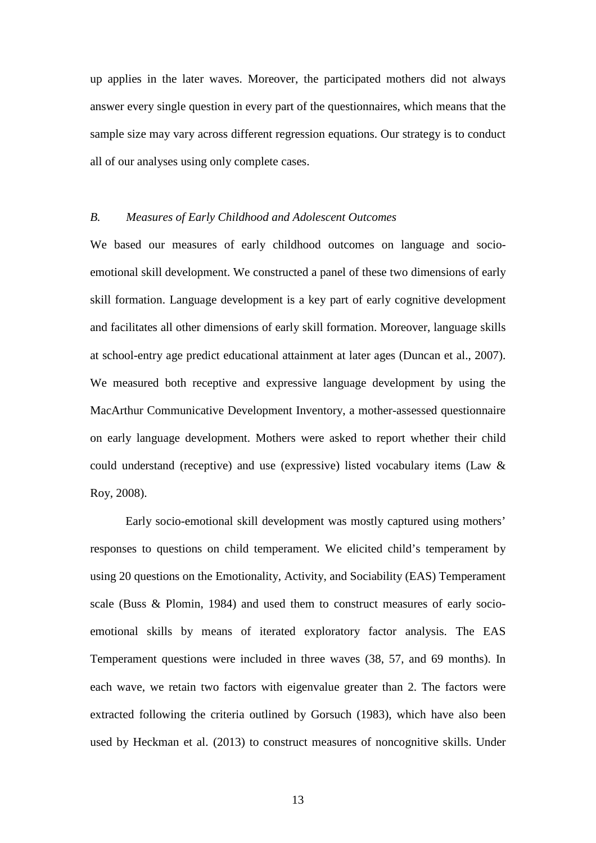up applies in the later waves. Moreover, the participated mothers did not always answer every single question in every part of the questionnaires, which means that the sample size may vary across different regression equations. Our strategy is to conduct all of our analyses using only complete cases.

### *B. Measures of Early Childhood and Adolescent Outcomes*

We based our measures of early childhood outcomes on language and socioemotional skill development. We constructed a panel of these two dimensions of early skill formation. Language development is a key part of early cognitive development and facilitates all other dimensions of early skill formation. Moreover, language skills at school-entry age predict educational attainment at later ages (Duncan et al., 2007). We measured both receptive and expressive language development by using the MacArthur Communicative Development Inventory, a mother-assessed questionnaire on early language development. Mothers were asked to report whether their child could understand (receptive) and use (expressive) listed vocabulary items (Law  $\&$ Roy, 2008).

Early socio-emotional skill development was mostly captured using mothers' responses to questions on child temperament. We elicited child's temperament by using 20 questions on the Emotionality, Activity, and Sociability (EAS) Temperament scale (Buss & Plomin, 1984) and used them to construct measures of early socioemotional skills by means of iterated exploratory factor analysis. The EAS Temperament questions were included in three waves (38, 57, and 69 months). In each wave, we retain two factors with eigenvalue greater than 2. The factors were extracted following the criteria outlined by Gorsuch (1983), which have also been used by Heckman et al. (2013) to construct measures of noncognitive skills. Under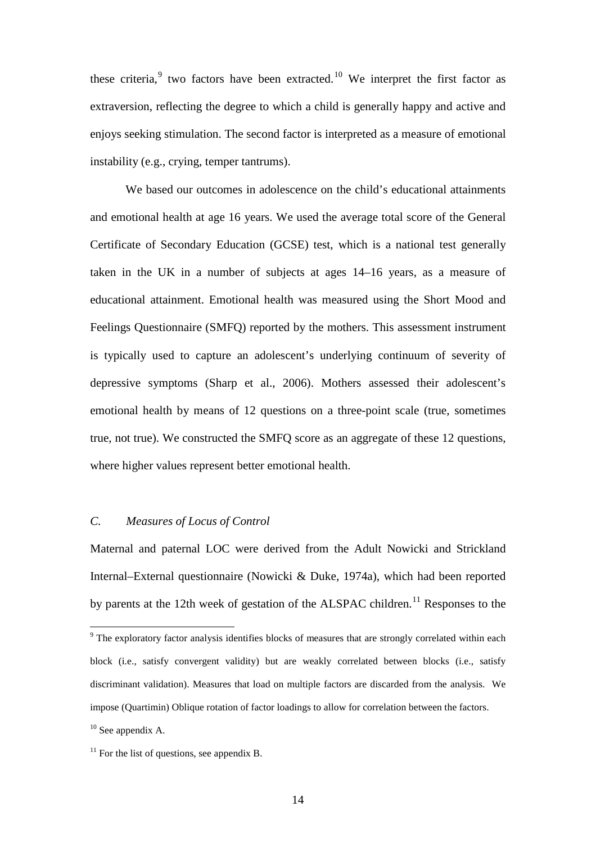these criteria, $9$  two factors have been extracted.<sup>[10](#page-14-0)</sup> We interpret the first factor as extraversion, reflecting the degree to which a child is generally happy and active and enjoys seeking stimulation. The second factor is interpreted as a measure of emotional instability (e.g., crying, temper tantrums).

We based our outcomes in adolescence on the child's educational attainments and emotional health at age 16 years. We used the average total score of the General Certificate of Secondary Education (GCSE) test, which is a national test generally taken in the UK in a number of subjects at ages 14–16 years, as a measure of educational attainment. Emotional health was measured using the Short Mood and Feelings Questionnaire (SMFQ) reported by the mothers. This assessment instrument is typically used to capture an adolescent's underlying continuum of severity of depressive symptoms (Sharp et al., 2006). Mothers assessed their adolescent's emotional health by means of 12 questions on a three-point scale (true, sometimes true, not true). We constructed the SMFQ score as an aggregate of these 12 questions, where higher values represent better emotional health.

### *C. Measures of Locus of Control*

Maternal and paternal LOC were derived from the Adult Nowicki and Strickland Internal–External questionnaire (Nowicki & Duke, 1974a), which had been reported by parents at the 12th week of gestation of the ALSPAC children.<sup>[11](#page-14-1)</sup> Responses to the

<sup>&</sup>lt;sup>9</sup> The exploratory factor analysis identifies blocks of measures that are strongly correlated within each block (i.e., satisfy convergent validity) but are weakly correlated between blocks (i.e., satisfy discriminant validation). Measures that load on multiple factors are discarded from the analysis. We impose (Quartimin) Oblique rotation of factor loadings to allow for correlation between the factors.

<span id="page-14-0"></span> $10$  See appendix A.

<span id="page-14-1"></span> $11$  For the list of questions, see appendix B.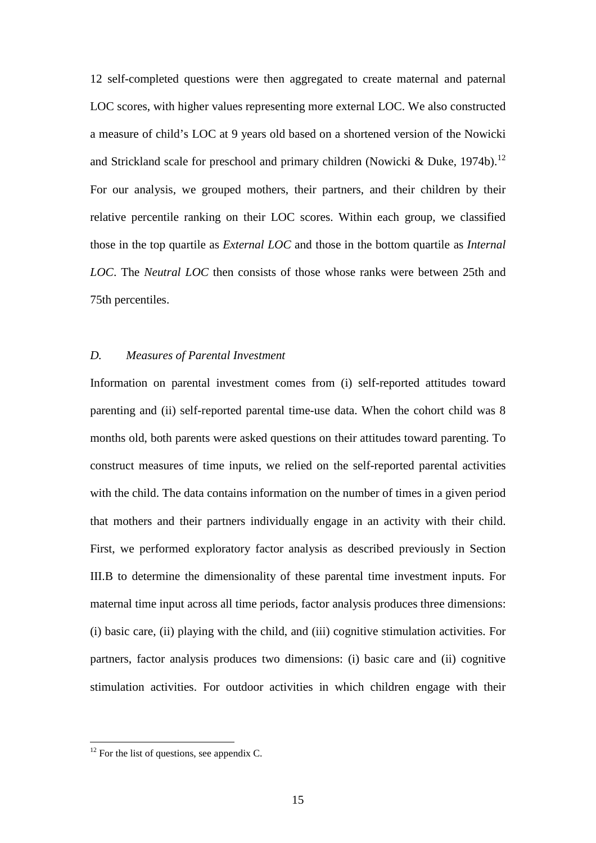12 self-completed questions were then aggregated to create maternal and paternal LOC scores, with higher values representing more external LOC. We also constructed a measure of child's LOC at 9 years old based on a shortened version of the Nowicki and Strickland scale for preschool and primary children (Nowicki & Duke, 1974b).<sup>[12](#page-14-1)</sup> For our analysis, we grouped mothers, their partners, and their children by their relative percentile ranking on their LOC scores. Within each group, we classified those in the top quartile as *External LOC* and those in the bottom quartile as *Internal LOC*. The *Neutral LOC* then consists of those whose ranks were between 25th and 75th percentiles.

### *D. Measures of Parental Investment*

Information on parental investment comes from (i) self-reported attitudes toward parenting and (ii) self-reported parental time-use data. When the cohort child was 8 months old, both parents were asked questions on their attitudes toward parenting. To construct measures of time inputs, we relied on the self-reported parental activities with the child. The data contains information on the number of times in a given period that mothers and their partners individually engage in an activity with their child. First, we performed exploratory factor analysis as described previously in Section III.B to determine the dimensionality of these parental time investment inputs. For maternal time input across all time periods, factor analysis produces three dimensions: (i) basic care, (ii) playing with the child, and (iii) cognitive stimulation activities. For partners, factor analysis produces two dimensions: (i) basic care and (ii) cognitive stimulation activities. For outdoor activities in which children engage with their

<span id="page-15-0"></span> $12$  For the list of questions, see appendix C.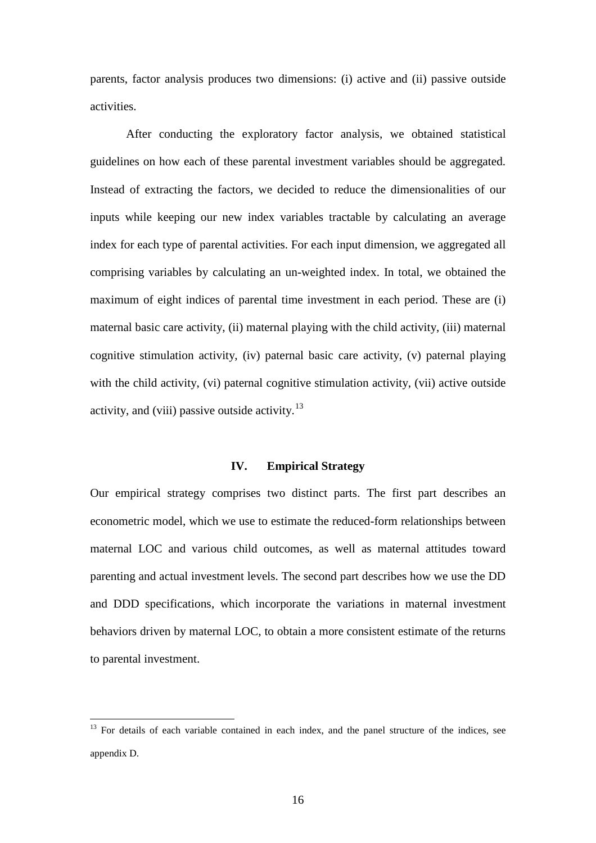parents, factor analysis produces two dimensions: (i) active and (ii) passive outside activities.

After conducting the exploratory factor analysis, we obtained statistical guidelines on how each of these parental investment variables should be aggregated. Instead of extracting the factors, we decided to reduce the dimensionalities of our inputs while keeping our new index variables tractable by calculating an average index for each type of parental activities. For each input dimension, we aggregated all comprising variables by calculating an un-weighted index. In total, we obtained the maximum of eight indices of parental time investment in each period. These are (i) maternal basic care activity, (ii) maternal playing with the child activity, (iii) maternal cognitive stimulation activity, (iv) paternal basic care activity, (v) paternal playing with the child activity, (vi) paternal cognitive stimulation activity, (vii) active outside activity, and (viii) passive outside activity.<sup>[13](#page-15-0)</sup>

### **IV. Empirical Strategy**

Our empirical strategy comprises two distinct parts. The first part describes an econometric model, which we use to estimate the reduced-form relationships between maternal LOC and various child outcomes, as well as maternal attitudes toward parenting and actual investment levels. The second part describes how we use the DD and DDD specifications, which incorporate the variations in maternal investment behaviors driven by maternal LOC, to obtain a more consistent estimate of the returns to parental investment.

<span id="page-16-0"></span><sup>&</sup>lt;sup>13</sup> For details of each variable contained in each index, and the panel structure of the indices, see appendix D.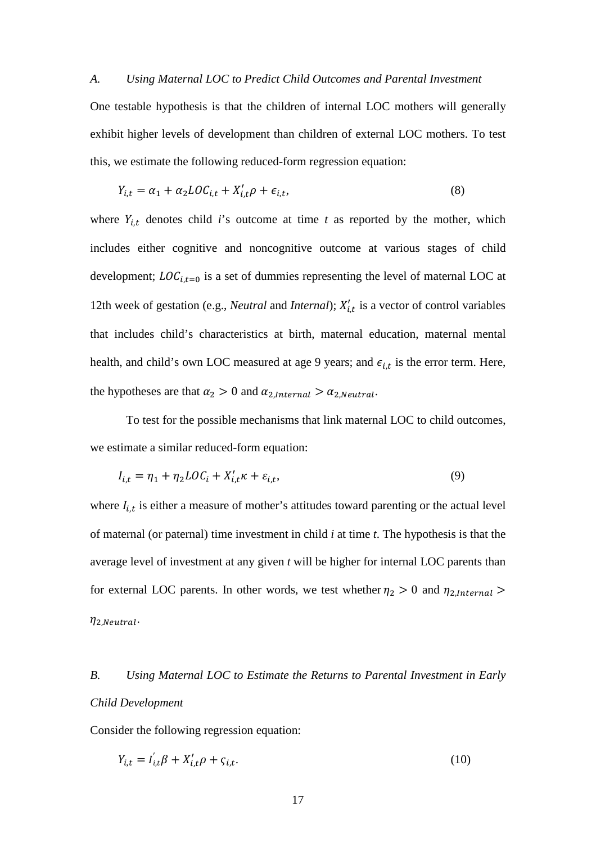#### *A. Using Maternal LOC to Predict Child Outcomes and Parental Investment*

One testable hypothesis is that the children of internal LOC mothers will generally exhibit higher levels of development than children of external LOC mothers. To test this, we estimate the following reduced-form regression equation:

$$
Y_{i,t} = \alpha_1 + \alpha_2 LO C_{i,t} + X'_{i,t} \rho + \epsilon_{i,t},
$$
\n(8)

where  $Y_{i,t}$  denotes child *i*'s outcome at time *t* as reported by the mother, which includes either cognitive and noncognitive outcome at various stages of child development;  $LOG_{i,t=0}$  is a set of dummies representing the level of maternal LOC at 12th week of gestation (e.g., *Neutral* and *Internal*);  $X'_{i,t}$  is a vector of control variables that includes child's characteristics at birth, maternal education, maternal mental health, and child's own LOC measured at age 9 years; and  $\epsilon_{i,t}$  is the error term. Here, the hypotheses are that  $\alpha_2 > 0$  and  $\alpha_{2,Internal} > \alpha_{2, Neutral}$ .

To test for the possible mechanisms that link maternal LOC to child outcomes, we estimate a similar reduced-form equation:

$$
I_{i,t} = \eta_1 + \eta_2 LO C_i + X'_{i,t} \kappa + \varepsilon_{i,t},\tag{9}
$$

where  $I_{i,t}$  is either a measure of mother's attitudes toward parenting or the actual level of maternal (or paternal) time investment in child *i* at time *t*. The hypothesis is that the average level of investment at any given *t* will be higher for internal LOC parents than for external LOC parents. In other words, we test whether  $\eta_2 > 0$  and  $\eta_{2, Internal} >$  $\eta_{2,Neutral}.$ 

## *B. Using Maternal LOC to Estimate the Returns to Parental Investment in Early Child Development*

Consider the following regression equation:

$$
Y_{i,t} = I'_{i,t}\beta + X'_{i,t}\rho + \varsigma_{i,t}.\tag{10}
$$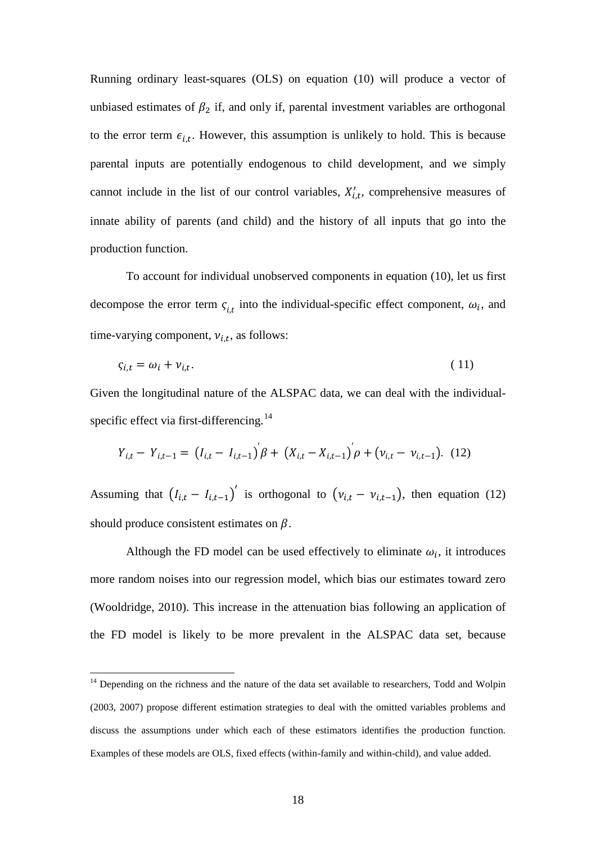Running ordinary least-squares (OLS) on equation (10) will produce a vector of unbiased estimates of  $\beta_2$  if, and only if, parental investment variables are orthogonal to the error term  $\epsilon_{i,t}$ . However, this assumption is unlikely to hold. This is because parental inputs are potentially endogenous to child development, and we simply cannot include in the list of our control variables,  $X'_{i,t}$ , comprehensive measures of innate ability of parents (and child) and the history of all inputs that go into the production function.

To account for individual unobserved components in equation (10), let us first decompose the error term  $\varsigma_{i,t}$  into the individual-specific effect component,  $\omega_i$ , and time-varying component,  $v_{i,t}$ , as follows:

$$
\varsigma_{i,t} = \omega_i + \nu_{i,t}.\tag{11}
$$

Given the longitudinal nature of the ALSPAC data, we can deal with the individual-specific effect via first-differencing.<sup>[14](#page-16-0)</sup>

$$
Y_{i,t} - Y_{i,t-1} = (I_{i,t} - I_{i,t-1}) \beta + (X_{i,t} - X_{i,t-1}) \rho + (v_{i,t} - v_{i,t-1}). \tag{12}
$$

Assuming that  $(I_{i,t} - I_{i,t-1})'$  is orthogonal to  $(v_{i,t} - v_{i,t-1})$ , then equation (12) should produce consistent estimates on  $\beta$ .

Although the FD model can be used effectively to eliminate  $\omega_i$ , it introduces more random noises into our regression model, which bias our estimates toward zero (Wooldridge, 2010). This increase in the attenuation bias following an application of the FD model is likely to be more prevalent in the ALSPAC data set, because

<span id="page-18-0"></span><sup>&</sup>lt;sup>14</sup> Depending on the richness and the nature of the data set available to researchers, Todd and Wolpin (2003, 2007) propose different estimation strategies to deal with the omitted variables problems and discuss the assumptions under which each of these estimators identifies the production function. Examples of these models are OLS, fixed effects (within-family and within-child), and value added.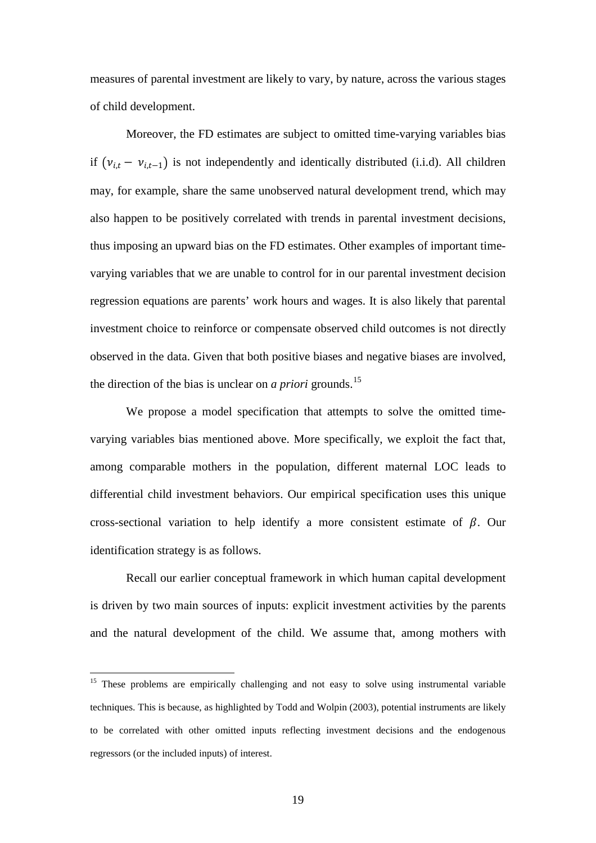measures of parental investment are likely to vary, by nature, across the various stages of child development.

Moreover, the FD estimates are subject to omitted time-varying variables bias if  $(v_{i,t} - v_{i,t-1})$  is not independently and identically distributed (i.i.d). All children may, for example, share the same unobserved natural development trend, which may also happen to be positively correlated with trends in parental investment decisions, thus imposing an upward bias on the FD estimates. Other examples of important timevarying variables that we are unable to control for in our parental investment decision regression equations are parents' work hours and wages. It is also likely that parental investment choice to reinforce or compensate observed child outcomes is not directly observed in the data. Given that both positive biases and negative biases are involved, the direction of the bias is unclear on *a priori* grounds.<sup>[15](#page-18-0)</sup>

We propose a model specification that attempts to solve the omitted timevarying variables bias mentioned above. More specifically, we exploit the fact that, among comparable mothers in the population, different maternal LOC leads to differential child investment behaviors. Our empirical specification uses this unique cross-sectional variation to help identify a more consistent estimate of  $\beta$ . Our identification strategy is as follows.

Recall our earlier conceptual framework in which human capital development is driven by two main sources of inputs: explicit investment activities by the parents and the natural development of the child. We assume that, among mothers with

<span id="page-19-0"></span><sup>&</sup>lt;sup>15</sup> These problems are empirically challenging and not easy to solve using instrumental variable techniques. This is because, as highlighted by Todd and Wolpin (2003), potential instruments are likely to be correlated with other omitted inputs reflecting investment decisions and the endogenous regressors (or the included inputs) of interest.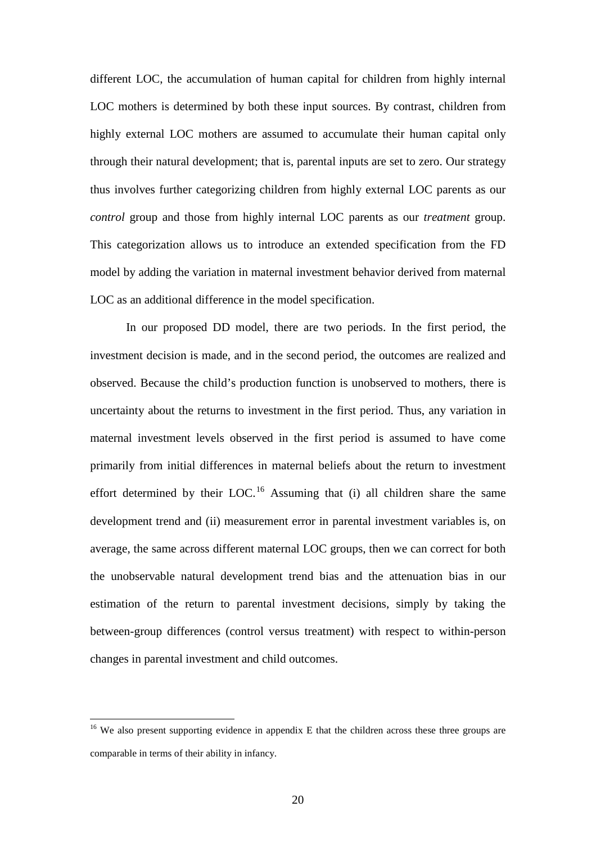different LOC, the accumulation of human capital for children from highly internal LOC mothers is determined by both these input sources. By contrast, children from highly external LOC mothers are assumed to accumulate their human capital only through their natural development; that is, parental inputs are set to zero. Our strategy thus involves further categorizing children from highly external LOC parents as our *control* group and those from highly internal LOC parents as our *treatment* group. This categorization allows us to introduce an extended specification from the FD model by adding the variation in maternal investment behavior derived from maternal LOC as an additional difference in the model specification.

In our proposed DD model, there are two periods. In the first period, the investment decision is made, and in the second period, the outcomes are realized and observed. Because the child's production function is unobserved to mothers, there is uncertainty about the returns to investment in the first period. Thus, any variation in maternal investment levels observed in the first period is assumed to have come primarily from initial differences in maternal beliefs about the return to investment effort determined by their LOC.<sup>[16](#page-19-0)</sup> Assuming that (i) all children share the same development trend and (ii) measurement error in parental investment variables is, on average, the same across different maternal LOC groups, then we can correct for both the unobservable natural development trend bias and the attenuation bias in our estimation of the return to parental investment decisions, simply by taking the between-group differences (control versus treatment) with respect to within-person changes in parental investment and child outcomes.

<span id="page-20-0"></span><sup>&</sup>lt;sup>16</sup> We also present supporting evidence in appendix E that the children across these three groups are comparable in terms of their ability in infancy.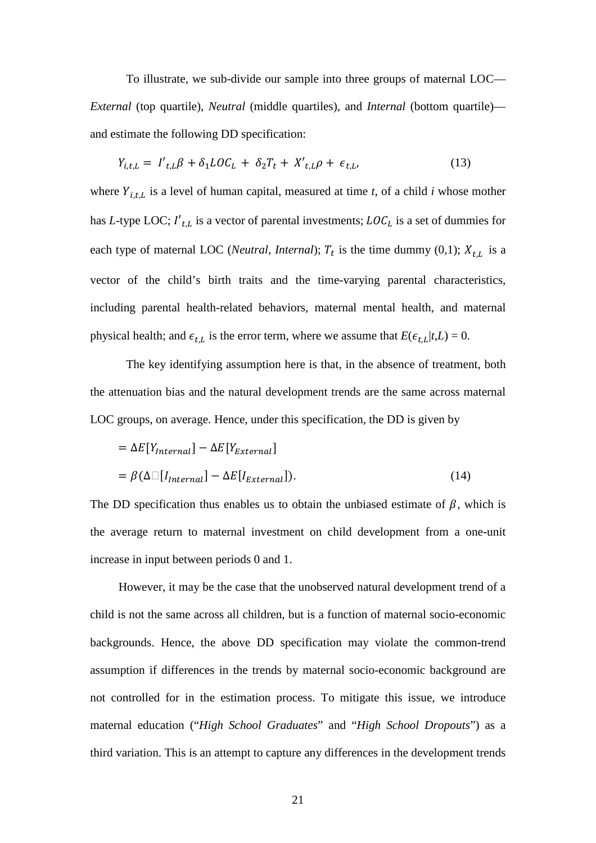To illustrate, we sub-divide our sample into three groups of maternal LOC— *External* (top quartile), *Neutral* (middle quartiles), and *Internal* (bottom quartile) and estimate the following DD specification:

$$
Y_{i,t,L} = I'_{t,L}\beta + \delta_1 L O C_L + \delta_2 T_t + X'_{t,L}\rho + \epsilon_{t,L},
$$
\n(13)

where  $Y_{i,t,L}$  is a level of human capital, measured at time  $t$ , of a child  $i$  whose mother has *L*-type LOC;  $I'_{t,L}$  is a vector of parental investments;  $LOC_L$  is a set of dummies for each type of maternal LOC (*Neutral, Internal*);  $T_t$  is the time dummy (0,1);  $X_{t,L}$  is a vector of the child's birth traits and the time-varying parental characteristics, including parental health-related behaviors, maternal mental health, and maternal physical health; and  $\epsilon_{t,L}$  is the error term, where we assume that  $E(\epsilon_{t,L}|t,L) = 0$ .

The key identifying assumption here is that, in the absence of treatment, both the attenuation bias and the natural development trends are the same across maternal LOC groups, on average. Hence, under this specification, the DD is given by

$$
= \Delta E[Y_{internal}] - \Delta E[Y_{External}]
$$
  
=  $\beta (\Delta \Box [I_{internal}] - \Delta E[I_{External}]).$  (14)

The DD specification thus enables us to obtain the unbiased estimate of  $\beta$ , which is the average return to maternal investment on child development from a one-unit increase in input between periods 0 and 1.

However, it may be the case that the unobserved natural development trend of a child is not the same across all children, but is a function of maternal socio-economic backgrounds. Hence, the above DD specification may violate the common-trend assumption if differences in the trends by maternal socio-economic background are not controlled for in the estimation process. To mitigate this issue, we introduce maternal education ("*High School Graduates*" and "*High School Dropouts*") as a third variation. This is an attempt to capture any differences in the development trends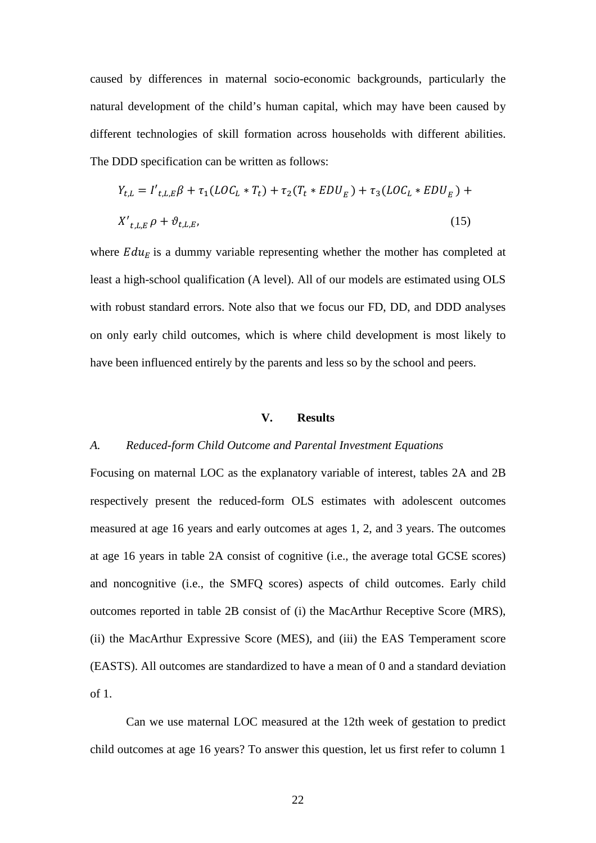caused by differences in maternal socio-economic backgrounds, particularly the natural development of the child's human capital, which may have been caused by different technologies of skill formation across households with different abilities. The DDD specification can be written as follows:

$$
Y_{t,L} = I'_{t,L,E}\beta + \tau_1 (LOC_L * T_t) + \tau_2 (T_t * EDU_E) + \tau_3 (LOC_L * EDU_E) +
$$
  

$$
X'_{t,L,E} \rho + \vartheta_{t,L,E},
$$
 (15)

where  $E du<sub>E</sub>$  is a dummy variable representing whether the mother has completed at least a high-school qualification (A level). All of our models are estimated using OLS with robust standard errors. Note also that we focus our FD, DD, and DDD analyses on only early child outcomes, which is where child development is most likely to have been influenced entirely by the parents and less so by the school and peers.

### **V. Results**

### *A. Reduced-form Child Outcome and Parental Investment Equations*

Focusing on maternal LOC as the explanatory variable of interest, tables 2A and 2B respectively present the reduced-form OLS estimates with adolescent outcomes measured at age 16 years and early outcomes at ages 1, 2, and 3 years. The outcomes at age 16 years in table 2A consist of cognitive (i.e., the average total GCSE scores) and noncognitive (i.e., the SMFQ scores) aspects of child outcomes. Early child outcomes reported in table 2B consist of (i) the MacArthur Receptive Score (MRS), (ii) the MacArthur Expressive Score (MES), and (iii) the EAS Temperament score (EASTS). All outcomes are standardized to have a mean of 0 and a standard deviation of 1.

Can we use maternal LOC measured at the 12th week of gestation to predict child outcomes at age 16 years? To answer this question, let us first refer to column 1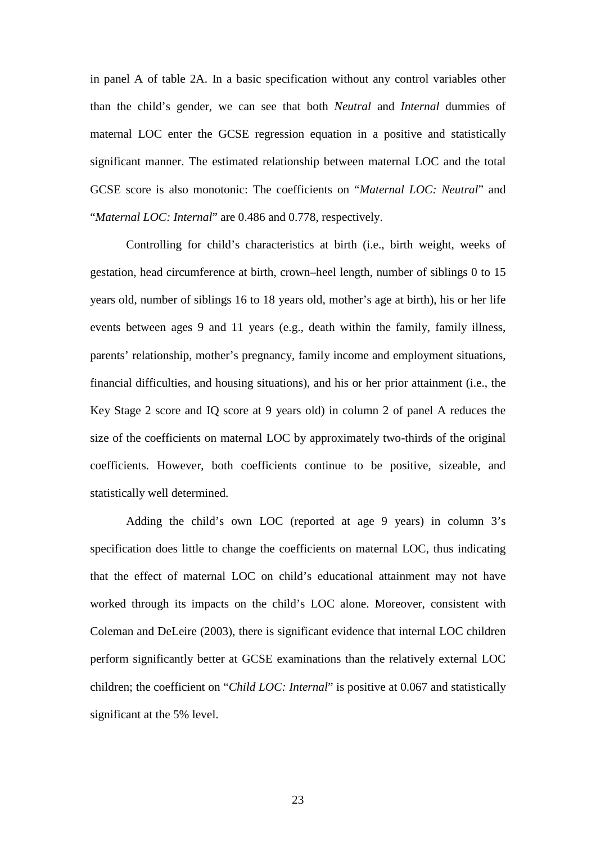in panel A of table 2A. In a basic specification without any control variables other than the child's gender, we can see that both *Neutral* and *Internal* dummies of maternal LOC enter the GCSE regression equation in a positive and statistically significant manner. The estimated relationship between maternal LOC and the total GCSE score is also monotonic: The coefficients on "*Maternal LOC: Neutral*" and "*Maternal LOC: Internal*" are 0.486 and 0.778, respectively.

Controlling for child's characteristics at birth (i.e., birth weight, weeks of gestation, head circumference at birth, crown–heel length, number of siblings 0 to 15 years old, number of siblings 16 to 18 years old, mother's age at birth), his or her life events between ages 9 and 11 years (e.g., death within the family, family illness, parents' relationship, mother's pregnancy, family income and employment situations, financial difficulties, and housing situations), and his or her prior attainment (i.e., the Key Stage 2 score and IQ score at 9 years old) in column 2 of panel A reduces the size of the coefficients on maternal LOC by approximately two-thirds of the original coefficients. However, both coefficients continue to be positive, sizeable, and statistically well determined.

Adding the child's own LOC (reported at age 9 years) in column 3's specification does little to change the coefficients on maternal LOC, thus indicating that the effect of maternal LOC on child's educational attainment may not have worked through its impacts on the child's LOC alone. Moreover, consistent with Coleman and DeLeire (2003), there is significant evidence that internal LOC children perform significantly better at GCSE examinations than the relatively external LOC children; the coefficient on "*Child LOC: Internal*" is positive at 0.067 and statistically significant at the 5% level.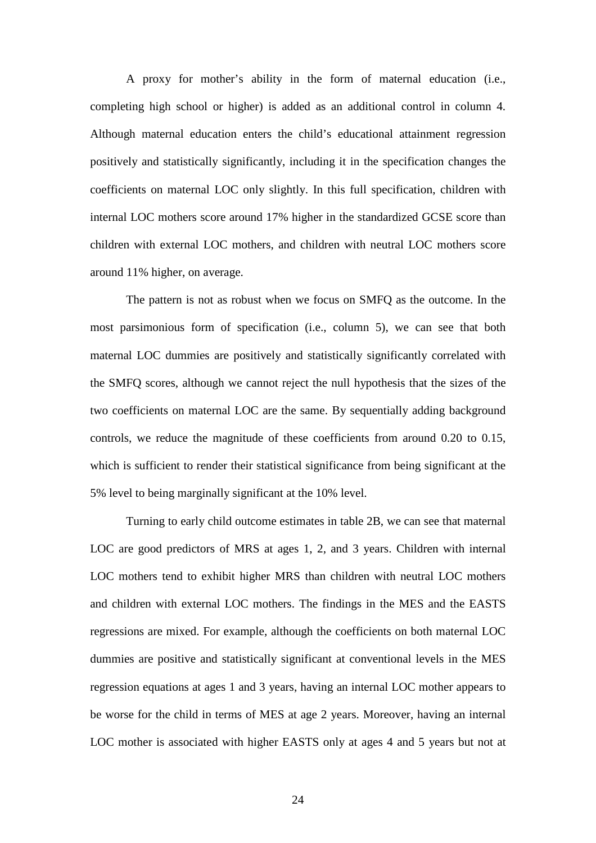A proxy for mother's ability in the form of maternal education (i.e., completing high school or higher) is added as an additional control in column 4. Although maternal education enters the child's educational attainment regression positively and statistically significantly, including it in the specification changes the coefficients on maternal LOC only slightly. In this full specification, children with internal LOC mothers score around 17% higher in the standardized GCSE score than children with external LOC mothers, and children with neutral LOC mothers score around 11% higher, on average.

The pattern is not as robust when we focus on SMFQ as the outcome. In the most parsimonious form of specification (i.e., column 5), we can see that both maternal LOC dummies are positively and statistically significantly correlated with the SMFQ scores, although we cannot reject the null hypothesis that the sizes of the two coefficients on maternal LOC are the same. By sequentially adding background controls, we reduce the magnitude of these coefficients from around 0.20 to 0.15, which is sufficient to render their statistical significance from being significant at the 5% level to being marginally significant at the 10% level.

Turning to early child outcome estimates in table 2B, we can see that maternal LOC are good predictors of MRS at ages 1, 2, and 3 years. Children with internal LOC mothers tend to exhibit higher MRS than children with neutral LOC mothers and children with external LOC mothers. The findings in the MES and the EASTS regressions are mixed. For example, although the coefficients on both maternal LOC dummies are positive and statistically significant at conventional levels in the MES regression equations at ages 1 and 3 years, having an internal LOC mother appears to be worse for the child in terms of MES at age 2 years. Moreover, having an internal LOC mother is associated with higher EASTS only at ages 4 and 5 years but not at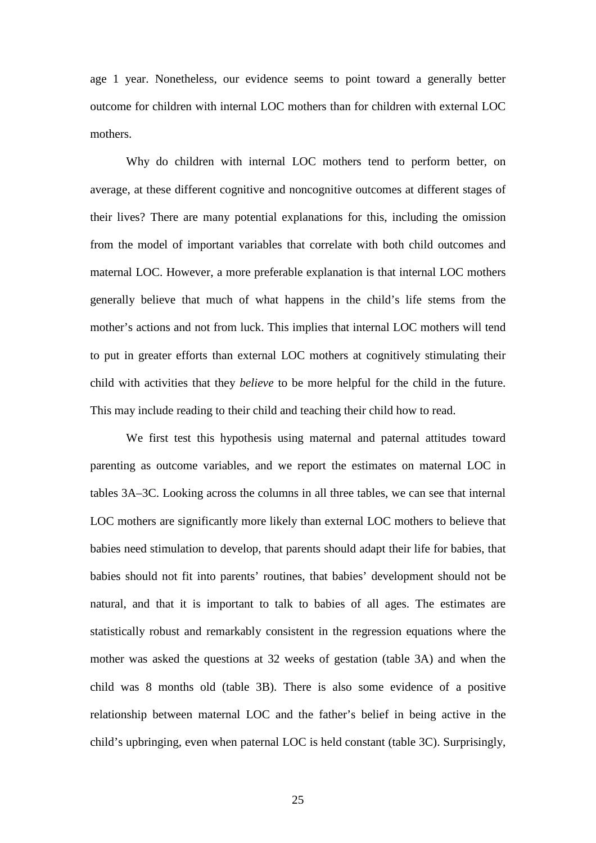age 1 year. Nonetheless, our evidence seems to point toward a generally better outcome for children with internal LOC mothers than for children with external LOC mothers.

Why do children with internal LOC mothers tend to perform better, on average, at these different cognitive and noncognitive outcomes at different stages of their lives? There are many potential explanations for this, including the omission from the model of important variables that correlate with both child outcomes and maternal LOC. However, a more preferable explanation is that internal LOC mothers generally believe that much of what happens in the child's life stems from the mother's actions and not from luck. This implies that internal LOC mothers will tend to put in greater efforts than external LOC mothers at cognitively stimulating their child with activities that they *believe* to be more helpful for the child in the future. This may include reading to their child and teaching their child how to read.

We first test this hypothesis using maternal and paternal attitudes toward parenting as outcome variables, and we report the estimates on maternal LOC in tables 3A–3C. Looking across the columns in all three tables, we can see that internal LOC mothers are significantly more likely than external LOC mothers to believe that babies need stimulation to develop, that parents should adapt their life for babies, that babies should not fit into parents' routines, that babies' development should not be natural, and that it is important to talk to babies of all ages. The estimates are statistically robust and remarkably consistent in the regression equations where the mother was asked the questions at 32 weeks of gestation (table 3A) and when the child was 8 months old (table 3B). There is also some evidence of a positive relationship between maternal LOC and the father's belief in being active in the child's upbringing, even when paternal LOC is held constant (table 3C). Surprisingly,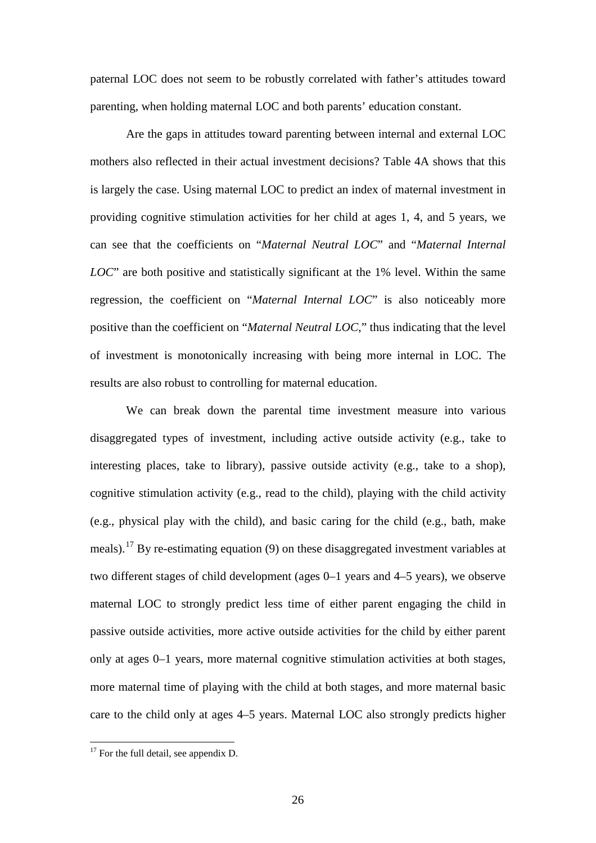paternal LOC does not seem to be robustly correlated with father's attitudes toward parenting, when holding maternal LOC and both parents' education constant.

Are the gaps in attitudes toward parenting between internal and external LOC mothers also reflected in their actual investment decisions? Table 4A shows that this is largely the case. Using maternal LOC to predict an index of maternal investment in providing cognitive stimulation activities for her child at ages 1, 4, and 5 years, we can see that the coefficients on "*Maternal Neutral LOC*" and "*Maternal Internal LOC*" are both positive and statistically significant at the 1% level. Within the same regression, the coefficient on "*Maternal Internal LOC*" is also noticeably more positive than the coefficient on "*Maternal Neutral LOC*," thus indicating that the level of investment is monotonically increasing with being more internal in LOC. The results are also robust to controlling for maternal education.

We can break down the parental time investment measure into various disaggregated types of investment, including active outside activity (e.g., take to interesting places, take to library), passive outside activity (e.g., take to a shop), cognitive stimulation activity (e.g., read to the child), playing with the child activity (e.g., physical play with the child), and basic caring for the child (e.g., bath, make meals).[17](#page-20-0) By re-estimating equation (9) on these disaggregated investment variables at two different stages of child development (ages 0–1 years and 4–5 years), we observe maternal LOC to strongly predict less time of either parent engaging the child in passive outside activities, more active outside activities for the child by either parent only at ages 0–1 years, more maternal cognitive stimulation activities at both stages, more maternal time of playing with the child at both stages, and more maternal basic care to the child only at ages 4–5 years. Maternal LOC also strongly predicts higher

<span id="page-26-0"></span> $17$  For the full detail, see appendix D.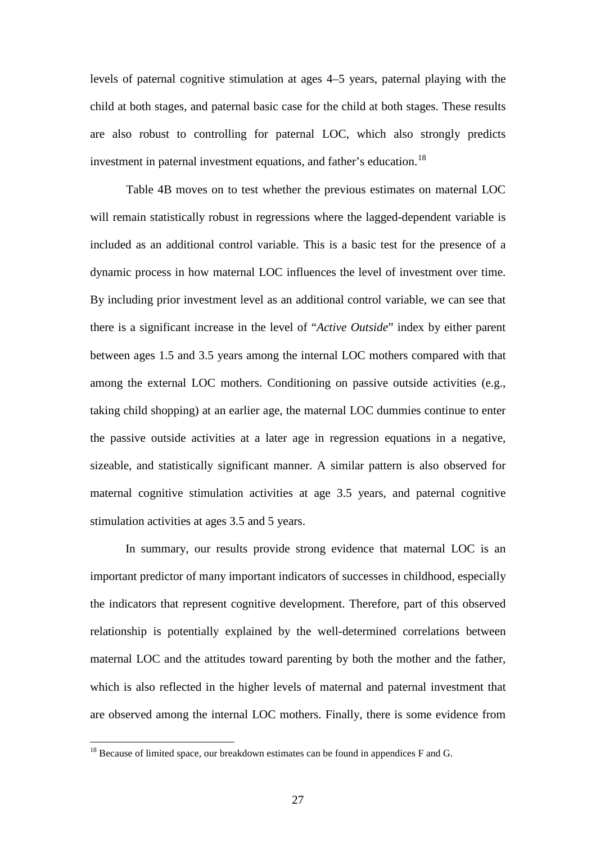levels of paternal cognitive stimulation at ages 4–5 years, paternal playing with the child at both stages, and paternal basic case for the child at both stages. These results are also robust to controlling for paternal LOC, which also strongly predicts investment in paternal investment equations, and father's education.<sup>[18](#page-26-0)</sup>

Table 4B moves on to test whether the previous estimates on maternal LOC will remain statistically robust in regressions where the lagged-dependent variable is included as an additional control variable. This is a basic test for the presence of a dynamic process in how maternal LOC influences the level of investment over time. By including prior investment level as an additional control variable, we can see that there is a significant increase in the level of "*Active Outside*" index by either parent between ages 1.5 and 3.5 years among the internal LOC mothers compared with that among the external LOC mothers. Conditioning on passive outside activities (e.g., taking child shopping) at an earlier age, the maternal LOC dummies continue to enter the passive outside activities at a later age in regression equations in a negative, sizeable, and statistically significant manner. A similar pattern is also observed for maternal cognitive stimulation activities at age 3.5 years, and paternal cognitive stimulation activities at ages 3.5 and 5 years.

In summary, our results provide strong evidence that maternal LOC is an important predictor of many important indicators of successes in childhood, especially the indicators that represent cognitive development. Therefore, part of this observed relationship is potentially explained by the well-determined correlations between maternal LOC and the attitudes toward parenting by both the mother and the father, which is also reflected in the higher levels of maternal and paternal investment that are observed among the internal LOC mothers. Finally, there is some evidence from

 $18$  Because of limited space, our breakdown estimates can be found in appendices F and G.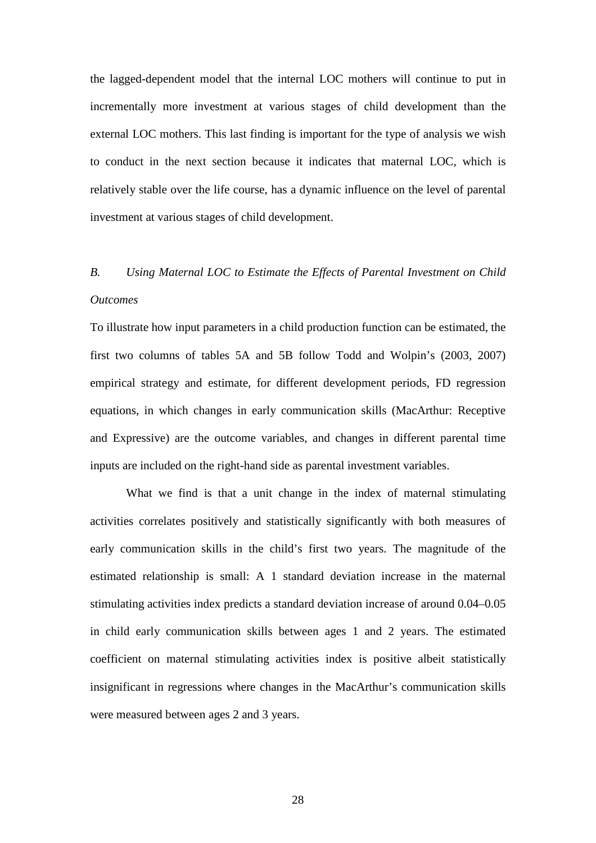the lagged-dependent model that the internal LOC mothers will continue to put in incrementally more investment at various stages of child development than the external LOC mothers. This last finding is important for the type of analysis we wish to conduct in the next section because it indicates that maternal LOC, which is relatively stable over the life course, has a dynamic influence on the level of parental investment at various stages of child development.

## *B. Using Maternal LOC to Estimate the Effects of Parental Investment on Child Outcomes*

To illustrate how input parameters in a child production function can be estimated, the first two columns of tables 5A and 5B follow Todd and Wolpin's (2003, 2007) empirical strategy and estimate, for different development periods, FD regression equations, in which changes in early communication skills (MacArthur: Receptive and Expressive) are the outcome variables, and changes in different parental time inputs are included on the right-hand side as parental investment variables.

What we find is that a unit change in the index of maternal stimulating activities correlates positively and statistically significantly with both measures of early communication skills in the child's first two years. The magnitude of the estimated relationship is small: A 1 standard deviation increase in the maternal stimulating activities index predicts a standard deviation increase of around 0.04–0.05 in child early communication skills between ages 1 and 2 years. The estimated coefficient on maternal stimulating activities index is positive albeit statistically insignificant in regressions where changes in the MacArthur's communication skills were measured between ages 2 and 3 years.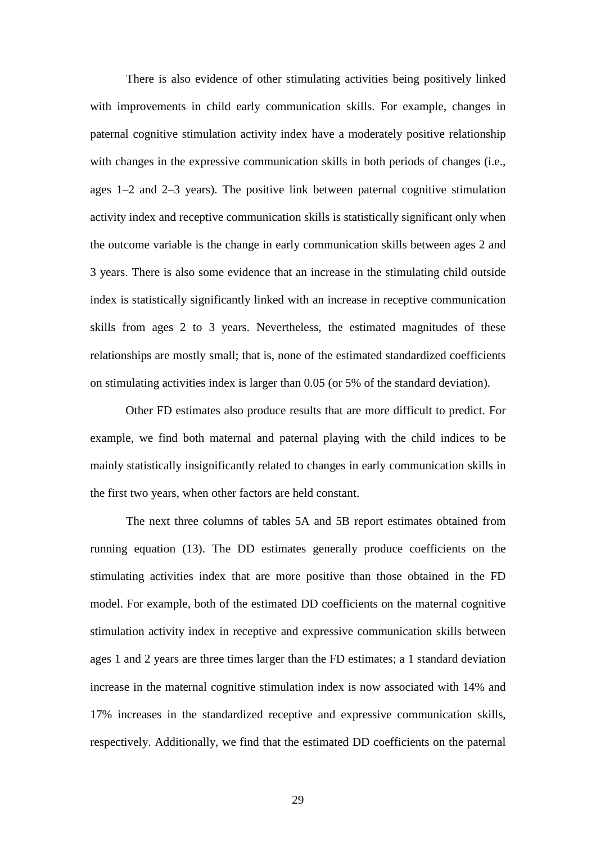There is also evidence of other stimulating activities being positively linked with improvements in child early communication skills. For example, changes in paternal cognitive stimulation activity index have a moderately positive relationship with changes in the expressive communication skills in both periods of changes (i.e., ages 1–2 and 2–3 years). The positive link between paternal cognitive stimulation activity index and receptive communication skills is statistically significant only when the outcome variable is the change in early communication skills between ages 2 and 3 years. There is also some evidence that an increase in the stimulating child outside index is statistically significantly linked with an increase in receptive communication skills from ages 2 to 3 years. Nevertheless, the estimated magnitudes of these relationships are mostly small; that is, none of the estimated standardized coefficients on stimulating activities index is larger than 0.05 (or 5% of the standard deviation).

Other FD estimates also produce results that are more difficult to predict. For example, we find both maternal and paternal playing with the child indices to be mainly statistically insignificantly related to changes in early communication skills in the first two years, when other factors are held constant.

The next three columns of tables 5A and 5B report estimates obtained from running equation (13). The DD estimates generally produce coefficients on the stimulating activities index that are more positive than those obtained in the FD model. For example, both of the estimated DD coefficients on the maternal cognitive stimulation activity index in receptive and expressive communication skills between ages 1 and 2 years are three times larger than the FD estimates; a 1 standard deviation increase in the maternal cognitive stimulation index is now associated with 14% and 17% increases in the standardized receptive and expressive communication skills, respectively. Additionally, we find that the estimated DD coefficients on the paternal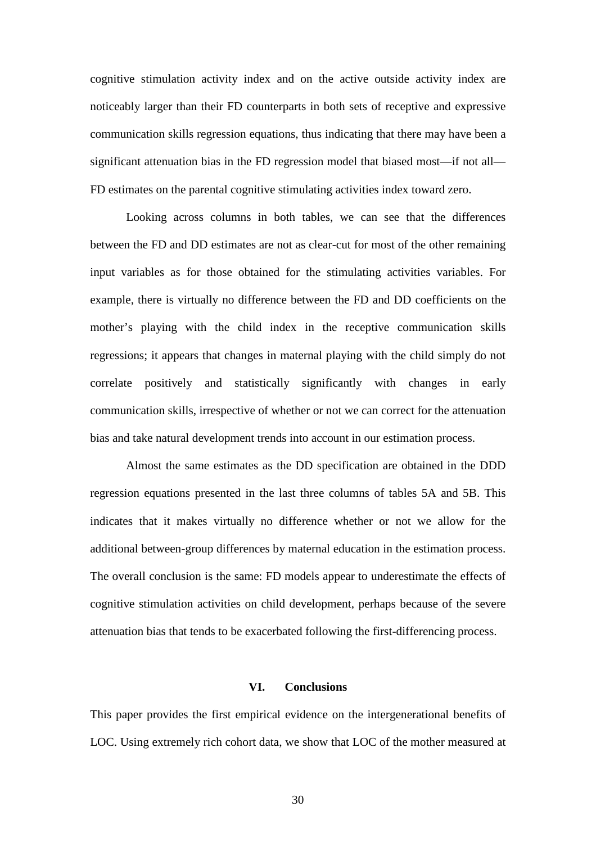cognitive stimulation activity index and on the active outside activity index are noticeably larger than their FD counterparts in both sets of receptive and expressive communication skills regression equations, thus indicating that there may have been a significant attenuation bias in the FD regression model that biased most—if not all— FD estimates on the parental cognitive stimulating activities index toward zero.

Looking across columns in both tables, we can see that the differences between the FD and DD estimates are not as clear-cut for most of the other remaining input variables as for those obtained for the stimulating activities variables. For example, there is virtually no difference between the FD and DD coefficients on the mother's playing with the child index in the receptive communication skills regressions; it appears that changes in maternal playing with the child simply do not correlate positively and statistically significantly with changes in early communication skills, irrespective of whether or not we can correct for the attenuation bias and take natural development trends into account in our estimation process.

Almost the same estimates as the DD specification are obtained in the DDD regression equations presented in the last three columns of tables 5A and 5B. This indicates that it makes virtually no difference whether or not we allow for the additional between-group differences by maternal education in the estimation process. The overall conclusion is the same: FD models appear to underestimate the effects of cognitive stimulation activities on child development, perhaps because of the severe attenuation bias that tends to be exacerbated following the first-differencing process.

### **VI. Conclusions**

This paper provides the first empirical evidence on the intergenerational benefits of LOC. Using extremely rich cohort data, we show that LOC of the mother measured at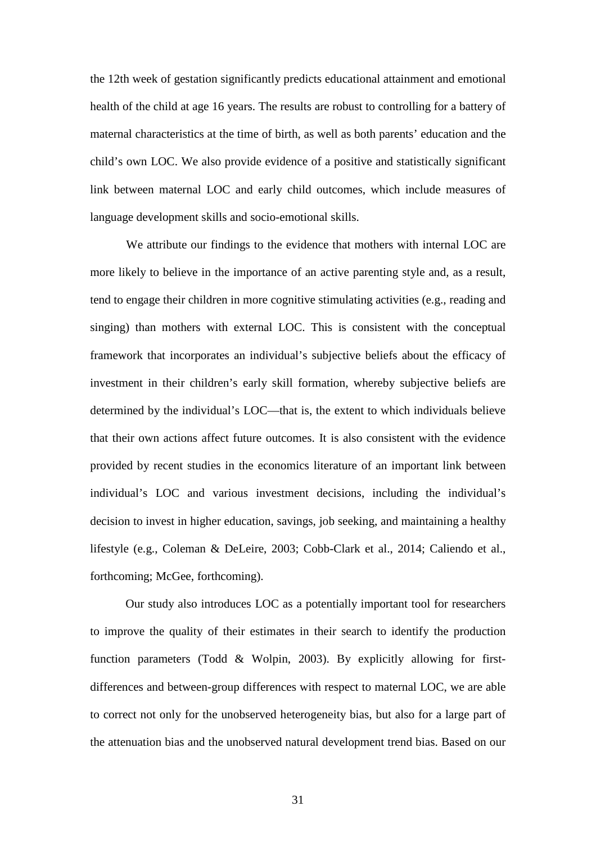the 12th week of gestation significantly predicts educational attainment and emotional health of the child at age 16 years. The results are robust to controlling for a battery of maternal characteristics at the time of birth, as well as both parents' education and the child's own LOC. We also provide evidence of a positive and statistically significant link between maternal LOC and early child outcomes, which include measures of language development skills and socio-emotional skills.

We attribute our findings to the evidence that mothers with internal LOC are more likely to believe in the importance of an active parenting style and, as a result, tend to engage their children in more cognitive stimulating activities (e.g., reading and singing) than mothers with external LOC. This is consistent with the conceptual framework that incorporates an individual's subjective beliefs about the efficacy of investment in their children's early skill formation, whereby subjective beliefs are determined by the individual's LOC—that is, the extent to which individuals believe that their own actions affect future outcomes. It is also consistent with the evidence provided by recent studies in the economics literature of an important link between individual's LOC and various investment decisions, including the individual's decision to invest in higher education, savings, job seeking, and maintaining a healthy lifestyle (e.g., Coleman & DeLeire, 2003; Cobb-Clark et al., 2014; Caliendo et al., forthcoming; McGee, forthcoming).

Our study also introduces LOC as a potentially important tool for researchers to improve the quality of their estimates in their search to identify the production function parameters (Todd & Wolpin, 2003). By explicitly allowing for firstdifferences and between-group differences with respect to maternal LOC, we are able to correct not only for the unobserved heterogeneity bias, but also for a large part of the attenuation bias and the unobserved natural development trend bias. Based on our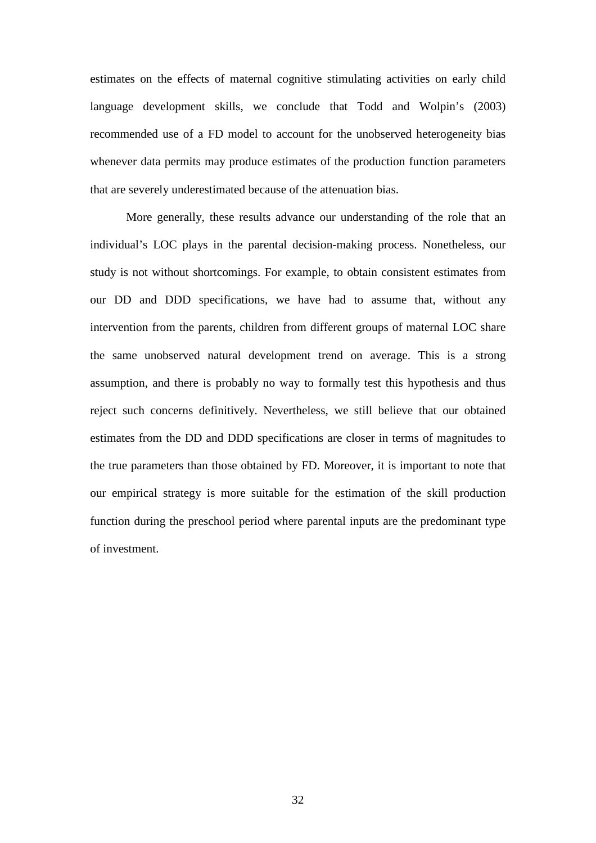estimates on the effects of maternal cognitive stimulating activities on early child language development skills, we conclude that Todd and Wolpin's (2003) recommended use of a FD model to account for the unobserved heterogeneity bias whenever data permits may produce estimates of the production function parameters that are severely underestimated because of the attenuation bias.

More generally, these results advance our understanding of the role that an individual's LOC plays in the parental decision-making process. Nonetheless, our study is not without shortcomings. For example, to obtain consistent estimates from our DD and DDD specifications, we have had to assume that, without any intervention from the parents, children from different groups of maternal LOC share the same unobserved natural development trend on average. This is a strong assumption, and there is probably no way to formally test this hypothesis and thus reject such concerns definitively. Nevertheless, we still believe that our obtained estimates from the DD and DDD specifications are closer in terms of magnitudes to the true parameters than those obtained by FD. Moreover, it is important to note that our empirical strategy is more suitable for the estimation of the skill production function during the preschool period where parental inputs are the predominant type of investment.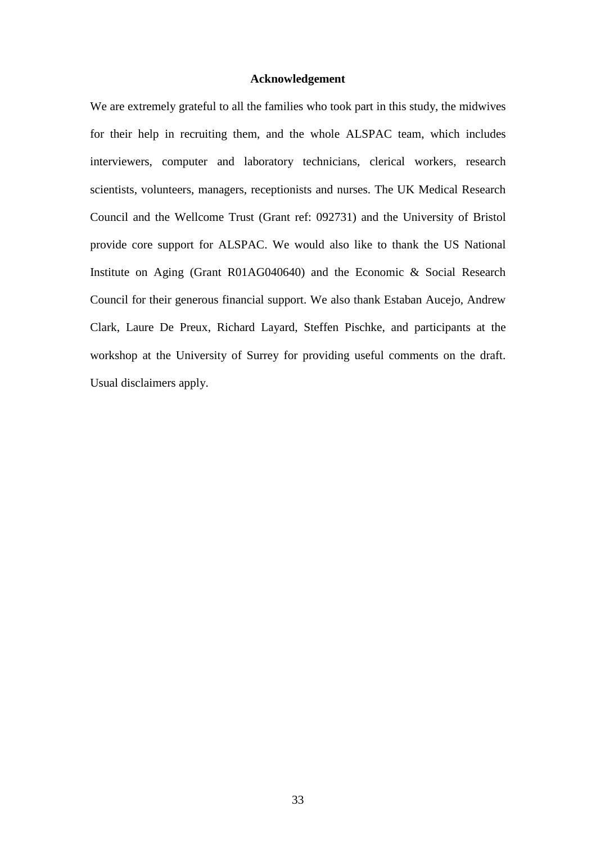### **Acknowledgement**

We are extremely grateful to all the families who took part in this study, the midwives for their help in recruiting them, and the whole ALSPAC team, which includes interviewers, computer and laboratory technicians, clerical workers, research scientists, volunteers, managers, receptionists and nurses. The UK Medical Research Council and the Wellcome Trust (Grant ref: 092731) and the University of Bristol provide core support for ALSPAC. We would also like to thank the US National Institute on Aging (Grant R01AG040640) and the Economic & Social Research Council for their generous financial support. We also thank Estaban Aucejo, Andrew Clark, Laure De Preux, Richard Layard, Steffen Pischke, and participants at the workshop at the University of Surrey for providing useful comments on the draft. Usual disclaimers apply.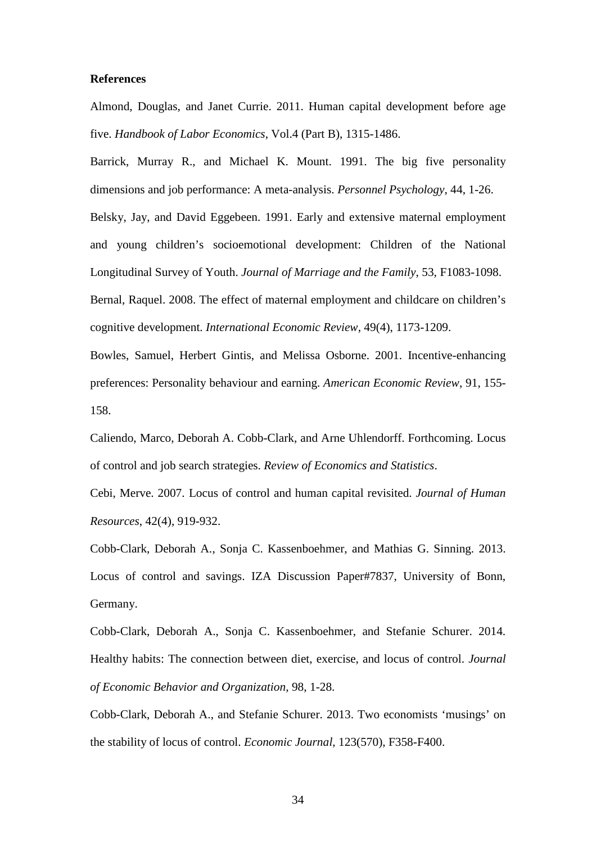### **References**

Almond, Douglas, and Janet Currie. 2011. Human capital development before age five. *Handbook of Labor Economics*, Vol.4 (Part B), 1315-1486.

Barrick, Murray R., and Michael K. Mount. 1991. The big five personality dimensions and job performance: A meta-analysis. *Personnel Psychology*, 44, 1-26. Belsky, Jay, and David Eggebeen. 1991. Early and extensive maternal employment and young children's socioemotional development: Children of the National Longitudinal Survey of Youth. *Journal of Marriage and the Family*, 53, F1083-1098. Bernal, Raquel. 2008. The effect of maternal employment and childcare on children's

cognitive development. *International Economic Review*, 49(4), 1173-1209.

Bowles, Samuel, Herbert Gintis, and Melissa Osborne. 2001. Incentive-enhancing preferences: Personality behaviour and earning. *American Economic Review*, 91, 155- 158.

Caliendo, Marco, Deborah A. Cobb-Clark, and Arne Uhlendorff. Forthcoming. Locus of control and job search strategies. *Review of Economics and Statistics*.

Cebi, Merve. 2007. Locus of control and human capital revisited. *Journal of Human Resources*, 42(4), 919-932.

Cobb-Clark, Deborah A., Sonja C. Kassenboehmer, and Mathias G. Sinning. 2013. Locus of control and savings. IZA Discussion Paper#7837, University of Bonn, Germany.

Cobb-Clark, Deborah A., Sonja C. Kassenboehmer, and Stefanie Schurer. 2014. Healthy habits: The connection between diet, exercise, and locus of control. *Journal of Economic Behavior and Organization*, 98, 1-28.

Cobb-Clark, Deborah A., and Stefanie Schurer. 2013. Two economists 'musings' on the stability of locus of control. *Economic Journal*, 123(570), F358-F400.

34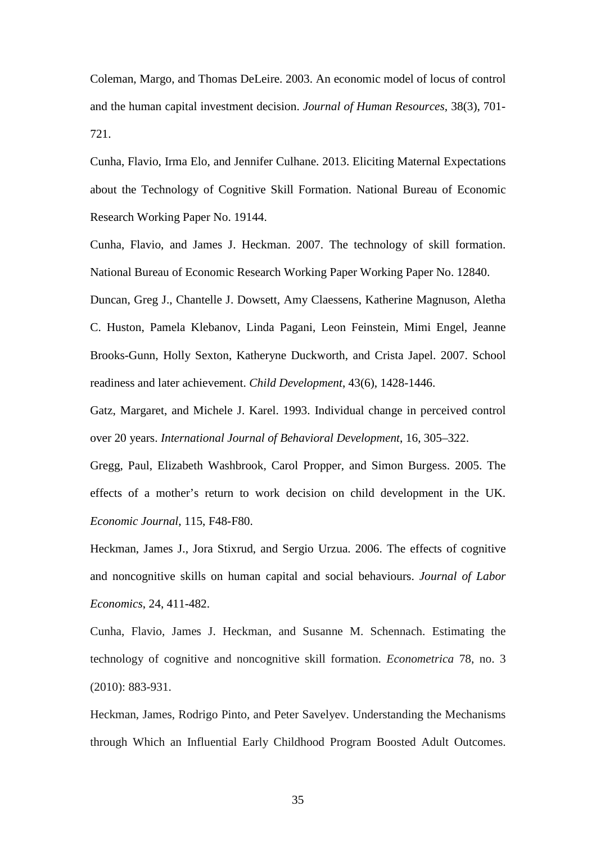Coleman, Margo, and Thomas DeLeire. 2003. An economic model of locus of control and the human capital investment decision. *Journal of Human Resources*, 38(3), 701- 721.

Cunha, Flavio, Irma Elo, and Jennifer Culhane. 2013. Eliciting Maternal Expectations about the Technology of Cognitive Skill Formation. National Bureau of Economic Research Working Paper No. 19144.

Cunha, Flavio, and James J. Heckman. 2007. The technology of skill formation. National Bureau of Economic Research Working Paper Working Paper No. 12840.

Duncan, Greg J., Chantelle J. Dowsett, Amy Claessens, Katherine Magnuson, Aletha C. Huston, Pamela Klebanov, Linda Pagani, Leon Feinstein, Mimi Engel, Jeanne Brooks-Gunn, Holly Sexton, Katheryne Duckworth, and Crista Japel. 2007. School readiness and later achievement. *Child Development*, 43(6), 1428-1446.

Gatz, Margaret, and Michele J. Karel. 1993. Individual change in perceived control over 20 years. *International Journal of Behavioral Development*, 16, 305–322.

Gregg, Paul, Elizabeth Washbrook, Carol Propper, and Simon Burgess. 2005. The effects of a mother's return to work decision on child development in the UK. *Economic Journal*, 115, F48-F80.

Heckman, James J., Jora Stixrud, and Sergio Urzua. 2006. The effects of cognitive and noncognitive skills on human capital and social behaviours. *Journal of Labor Economics*, 24, 411-482.

Cunha, Flavio, James J. Heckman, and Susanne M. Schennach. Estimating the technology of cognitive and noncognitive skill formation. *Econometrica* 78, no. 3 (2010): 883-931.

Heckman, James, Rodrigo Pinto, and Peter Savelyev. Understanding the Mechanisms through Which an Influential Early Childhood Program Boosted Adult Outcomes.

35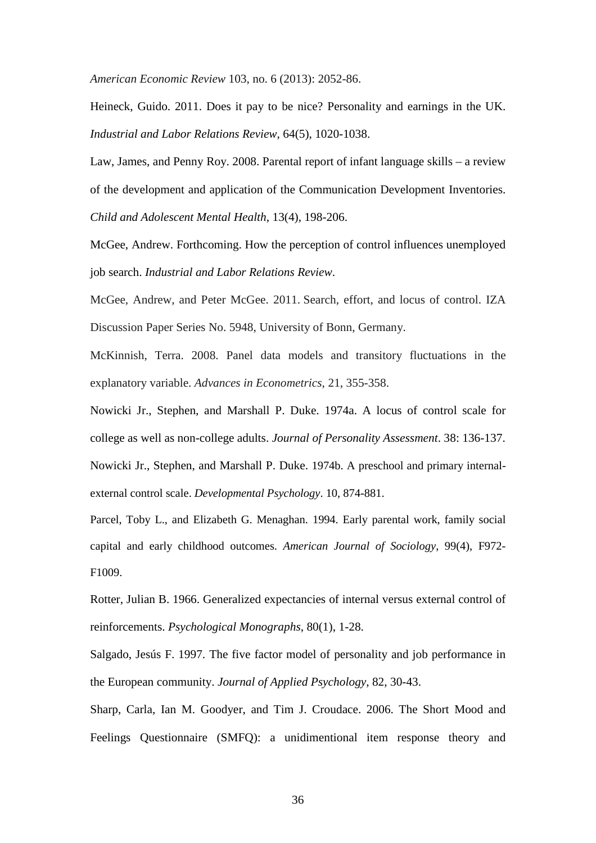*American Economic Review* 103, no. 6 (2013): 2052-86.

Heineck, Guido. 2011. Does it pay to be nice? Personality and earnings in the UK. *Industrial and Labor Relations Review*, 64(5), 1020-1038.

Law, James, and Penny Roy. 2008. Parental report of infant language skills – a review of the development and application of the Communication Development Inventories. *Child and Adolescent Mental Health*, 13(4), 198-206.

McGee, Andrew. Forthcoming. How the perception of control influences unemployed job search. *Industrial and Labor Relations Review*.

McGee, Andrew, and Peter McGee. 2011. Search, effort, and locus of control. IZA Discussion Paper Series No. 5948, University of Bonn, Germany.

McKinnish, Terra. 2008. Panel data models and transitory fluctuations in the explanatory variable. *Advances in Econometrics*, 21, 355-358.

Nowicki Jr., Stephen, and Marshall P. Duke. 1974a. A locus of control scale for college as well as non-college adults. *Journal of Personality Assessment*. 38: 136-137. Nowicki Jr., Stephen, and Marshall P. Duke. 1974b. A preschool and primary internalexternal control scale. *Developmental Psychology*. 10, 874-881.

Parcel, Toby L., and Elizabeth G. Menaghan. 1994. Early parental work, family social capital and early childhood outcomes. *American Journal of Sociology*, 99(4), F972- F1009.

Rotter, Julian B. 1966. Generalized expectancies of internal versus external control of reinforcements. *Psychological Monographs*, 80(1), 1-28.

Salgado, Jesús F. 1997. The five factor model of personality and job performance in the European community. *Journal of Applied Psychology*, 82, 30-43.

Sharp, Carla, Ian M. Goodyer, and Tim J. Croudace. 2006. The Short Mood and Feelings Questionnaire (SMFQ): a unidimentional item response theory and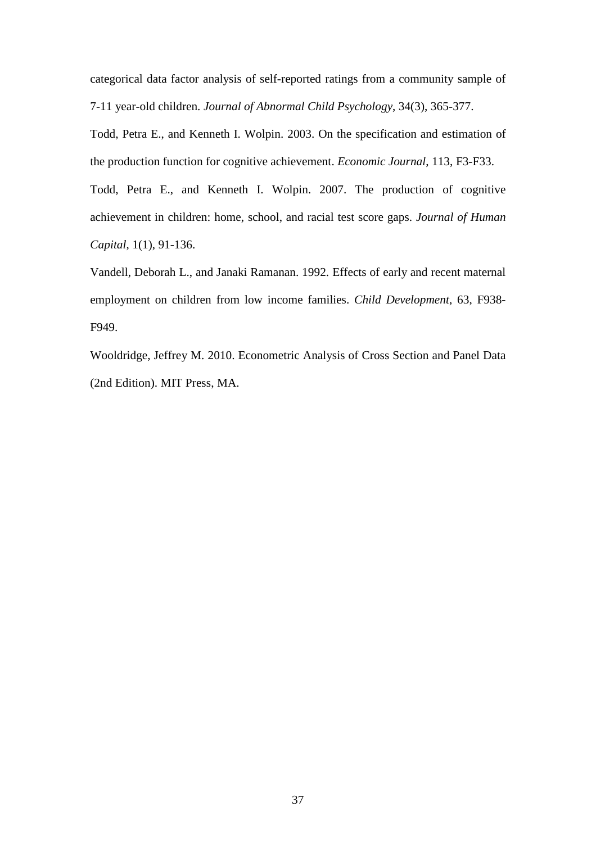categorical data factor analysis of self-reported ratings from a community sample of 7-11 year-old children. *Journal of Abnormal Child Psychology*, 34(3), 365-377.

Todd, Petra E., and Kenneth I. Wolpin. 2003. On the specification and estimation of the production function for cognitive achievement. *Economic Journal*, 113, F3-F33.

Todd, Petra E., and Kenneth I. Wolpin. 2007. The production of cognitive achievement in children: home, school, and racial test score gaps. *Journal of Human Capital*, 1(1), 91-136.

Vandell, Deborah L., and Janaki Ramanan. 1992. Effects of early and recent maternal employment on children from low income families. *Child Development*, 63, F938- F949.

Wooldridge, Jeffrey M. 2010. Econometric Analysis of Cross Section and Panel Data (2nd Edition). MIT Press, MA.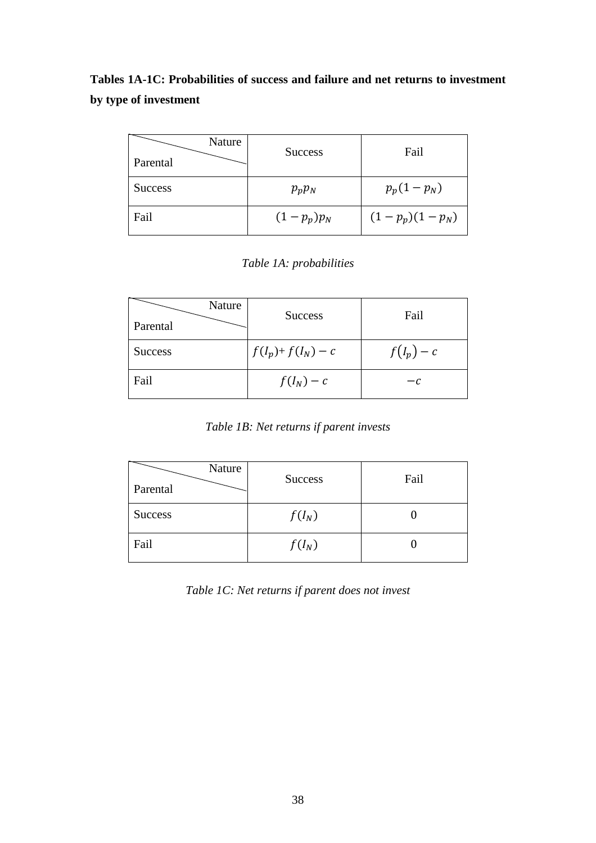**Tables 1A-1C: Probabilities of success and failure and net returns to investment by type of investment**

| Nature<br>Parental | <b>Success</b> | Fail             |
|--------------------|----------------|------------------|
| <b>Success</b>     | $p_p p_N$      | $p_p(1-p_N)$     |
| Fail               | $(1-p_p)p_N$   | $(1-p_p)(1-p_N)$ |

### *Table 1A: probabilities*

| Nature<br>Parental | <b>Success</b>        | Fail       |
|--------------------|-----------------------|------------|
| <b>Success</b>     | $f(I_p) + f(I_N) - c$ | $f(I_p)-c$ |
| Fail               | $f(I_N)-c$            | — C        |

*Table 1B: Net returns if parent invests*

| Nature<br>Parental | <b>Success</b> | Fail |
|--------------------|----------------|------|
| <b>Success</b>     | $f(I_N)$       |      |
| Fail               | $f(I_N)$       |      |

*Table 1C: Net returns if parent does not invest*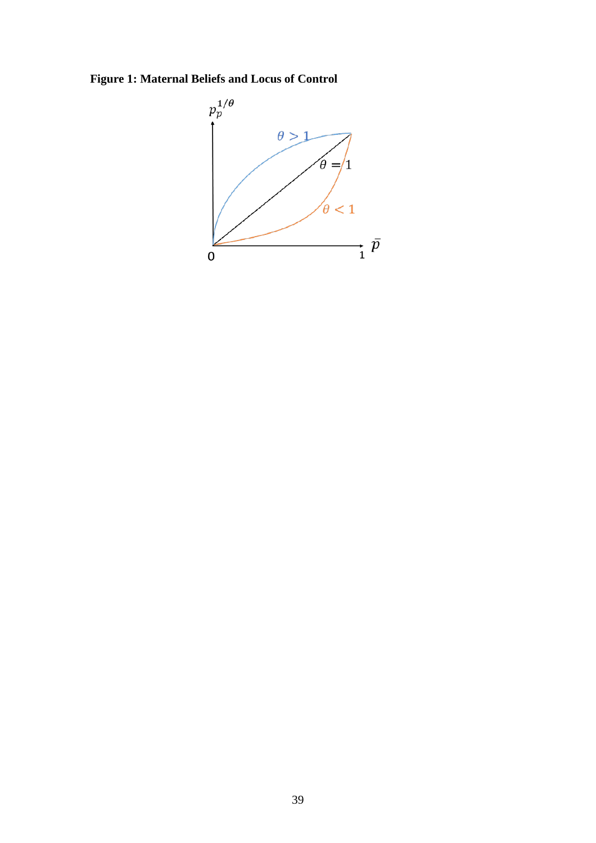**Figure 1: Maternal Beliefs and Locus of Control**

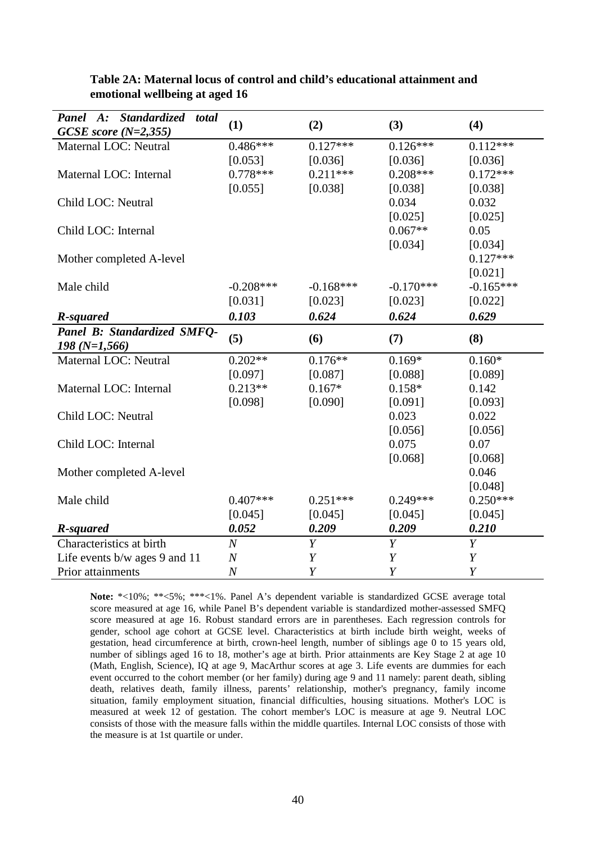| Panel A: Standardized<br>total | (1)              | (2)              | (3)              | (4)              |
|--------------------------------|------------------|------------------|------------------|------------------|
| GCSE score $(N=2,355)$         |                  |                  |                  |                  |
| Maternal LOC: Neutral          | $0.486***$       | $0.127***$       | $0.126***$       | $0.112***$       |
|                                | [0.053]          | [0.036]          | [0.036]          | [0.036]          |
| Maternal LOC: Internal         | $0.778***$       | $0.211***$       | $0.208***$       | $0.172***$       |
|                                | [0.055]          | [0.038]          | [0.038]          | [0.038]          |
| Child LOC: Neutral             |                  |                  | 0.034            | 0.032            |
|                                |                  |                  | [0.025]          | [0.025]          |
| Child LOC: Internal            |                  |                  | $0.067**$        | 0.05             |
|                                |                  |                  | [0.034]          | [0.034]          |
| Mother completed A-level       |                  |                  |                  | $0.127***$       |
|                                |                  |                  |                  | [0.021]          |
| Male child                     | $-0.208***$      | $-0.168***$      | $-0.170***$      | $-0.165***$      |
|                                | [0.031]          | [0.023]          | [0.023]          | [0.022]          |
| R-squared                      | 0.103            | 0.624            | 0.624            | 0.629            |
| Panel B: Standardized SMFQ-    |                  |                  |                  |                  |
|                                | (5)              | (6)              | (7)              | (8)              |
| $198(N=1,566)$                 |                  |                  |                  |                  |
| Maternal LOC: Neutral          | $0.202**$        | $0.176**$        | $0.169*$         | $0.160*$         |
|                                | [0.097]          | [0.087]          | [0.088]          | [0.089]          |
| Maternal LOC: Internal         | $0.213**$        | $0.167*$         | $0.158*$         | 0.142            |
|                                |                  |                  |                  |                  |
|                                | [0.098]          | [0.090]          | [0.091]<br>0.023 | [0.093]<br>0.022 |
| Child LOC: Neutral             |                  |                  |                  |                  |
|                                |                  |                  | [0.056]          | [0.056]          |
| Child LOC: Internal            |                  |                  | 0.075            | 0.07             |
|                                |                  |                  | [0.068]          | [0.068]          |
| Mother completed A-level       |                  |                  |                  | 0.046            |
|                                | $0.407***$       | $0.251***$       | $0.249***$       | [0.048]          |
| Male child                     |                  |                  |                  | $0.250***$       |
| R-squared                      | [0.045]<br>0.052 | [0.045]<br>0.209 | [0.045]<br>0.209 | [0.045]<br>0.210 |
| Characteristics at birth       | $\boldsymbol{N}$ | Y                | Y                | Y                |
| Life events b/w ages 9 and 11  | $\boldsymbol{N}$ | Y                | Y                | Y                |

### **Table 2A: Maternal locus of control and child's educational attainment and emotional wellbeing at aged 16**

Note: \*<10%; \*\*<5%; \*\*\*<1%. Panel A's dependent variable is standardized GCSE average total score measured at age 16, while Panel B's dependent variable is standardized mother-assessed SMFQ score measured at age 16. Robust standard errors are in parentheses. Each regression controls for gender, school age cohort at GCSE level. Characteristics at birth include birth weight, weeks of gestation, head circumference at birth, crown-heel length, number of siblings age 0 to 15 years old, number of siblings aged 16 to 18, mother's age at birth. Prior attainments are Key Stage 2 at age 10 (Math, English, Science), IQ at age 9, MacArthur scores at age 3. Life events are dummies for each event occurred to the cohort member (or her family) during age 9 and 11 namely: parent death, sibling death, relatives death, family illness, parents' relationship, mother's pregnancy, family income situation, family employment situation, financial difficulties, housing situations. Mother's LOC is measured at week 12 of gestation. The cohort member's LOC is measure at age 9. Neutral LOC consists of those with the measure falls within the middle quartiles. Internal LOC consists of those with the measure is at 1st quartile or under.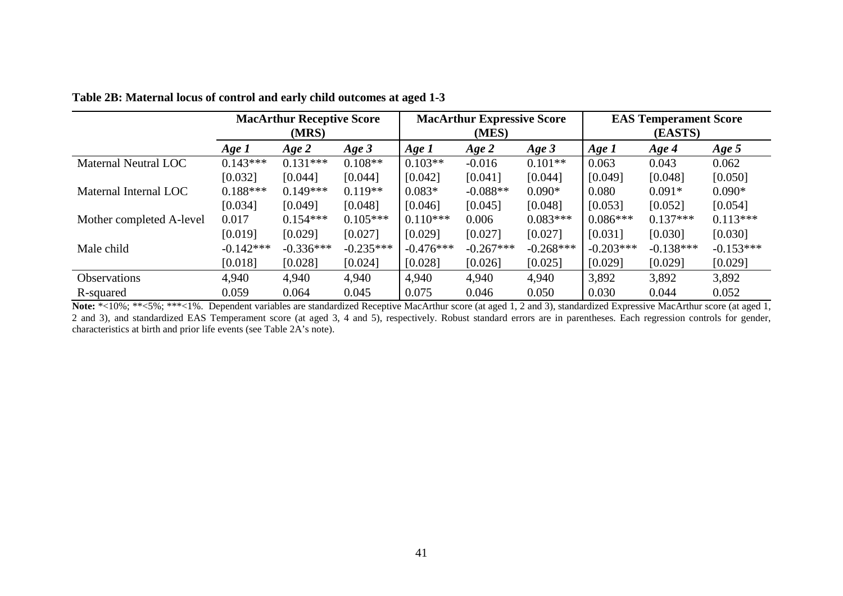|                          |             | <b>MacArthur Receptive Score</b><br>(MRS) |             |             | <b>MacArthur Expressive Score</b><br>(MES) |             |             | <b>EAS Temperament Score</b><br>(EASTS) |             |
|--------------------------|-------------|-------------------------------------------|-------------|-------------|--------------------------------------------|-------------|-------------|-----------------------------------------|-------------|
|                          | Age 1       | $Age\,2$                                  | Age $3$     | Age 1       | $Age\,2$                                   | $Age\,3$    | Age 1       | Age 4                                   | Age $5$     |
| Maternal Neutral LOC     | $0.143***$  | $0.131***$                                | $0.108**$   | $0.103**$   | $-0.016$                                   | $0.101**$   | 0.063       | 0.043                                   | 0.062       |
|                          | [0.032]     | [0.044]                                   | [0.044]     | [0.042]     | [0.041]                                    | [0.044]     | [0.049]     | [0.048]                                 | [0.050]     |
| Maternal Internal LOC    | $0.188***$  | $0.149***$                                | $0.119**$   | $0.083*$    | $-0.088**$                                 | $0.090*$    | 0.080       | $0.091*$                                | $0.090*$    |
|                          | [0.034]     | [0.049]                                   | [0.048]     | [0.046]     | [0.045]                                    | [0.048]     | [0.053]     | [0.052]                                 | [0.054]     |
| Mother completed A-level | 0.017       | $0.154***$                                | $0.105***$  | $0.110***$  | 0.006                                      | $0.083***$  | $0.086***$  | $0.137***$                              | $0.113***$  |
|                          | [0.019]     | [0.029]                                   | [0.027]     | [0.029]     | [0.027]                                    | [0.027]     | [0.031]     | [0.030]                                 | [0.030]     |
| Male child               | $-0.142***$ | $-0.336***$                               | $-0.235***$ | $-0.476***$ | $-0.267***$                                | $-0.268***$ | $-0.203***$ | $-0.138***$                             | $-0.153***$ |
|                          | [0.018]     | [0.028]                                   | [0.024]     | [0.028]     | [0.026]                                    | [0.025]     | [0.029]     | [0.029]                                 | [0.029]     |
| Observations             | 4,940       | 4,940                                     | 4,940       | 4,940       | 4,940                                      | 4,940       | 3,892       | 3,892                                   | 3,892       |
| R-squared                | 0.059       | 0.064                                     | 0.045       | 0.075       | 0.046                                      | 0.050       | 0.030       | 0.044                                   | 0.052       |

**Table 2B: Maternal locus of control and early child outcomes at aged 1-3**

Note: \*<10%; \*\*<5%; \*\*\*<1%. Dependent variables are standardized Receptive MacArthur score (at aged 1, 2 and 3), standardized Expressive MacArthur score (at aged 1, 2 and 3), and standardized EAS Temperament score (at aged 3, 4 and 5), respectively. Robust standard errors are in parentheses. Each regression controls for gender, characteristics at birth and prior life events (see Table 2A's note).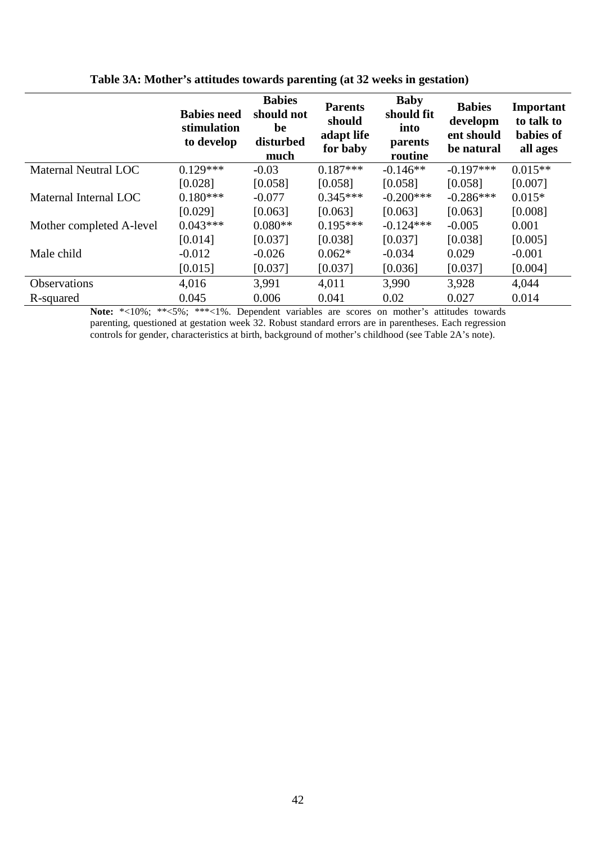|                          | <b>Babies need</b><br>stimulation<br>to develop | <b>Babies</b><br>should not<br>be<br>disturbed<br>much | <b>Parents</b><br>should<br>adapt life<br>for baby | <b>Baby</b><br>should fit<br>into<br>parents<br>routine | <b>Babies</b><br>developm<br>ent should<br>be natural | Important<br>to talk to<br>babies of<br>all ages |
|--------------------------|-------------------------------------------------|--------------------------------------------------------|----------------------------------------------------|---------------------------------------------------------|-------------------------------------------------------|--------------------------------------------------|
| Maternal Neutral LOC     | $0.129***$                                      | $-0.03$                                                | $0.187***$                                         | $-0.146**$                                              | $-0.197***$                                           | $0.015**$                                        |
|                          | [0.028]                                         | [0.058]                                                | [0.058]                                            | [0.058]                                                 | [0.058]                                               | [0.007]                                          |
| Maternal Internal LOC    | $0.180***$                                      | $-0.077$                                               | $0.345***$                                         | $-0.200***$                                             | $-0.286***$                                           | $0.015*$                                         |
|                          | [0.029]                                         | [0.063]                                                | [0.063]                                            | [0.063]                                                 | [0.063]                                               | [0.008]                                          |
| Mother completed A-level | $0.043***$                                      | $0.080**$                                              | $0.195***$                                         | $-0.124***$                                             | $-0.005$                                              | 0.001                                            |
|                          | [0.014]                                         | [0.037]                                                | [0.038]                                            | [0.037]                                                 | [0.038]                                               | [0.005]                                          |
| Male child               | $-0.012$                                        | $-0.026$                                               | $0.062*$                                           | $-0.034$                                                | 0.029                                                 | $-0.001$                                         |
|                          | [0.015]                                         | [0.037]                                                | [0.037]                                            | [0.036]                                                 | [0.037]                                               | [0.004]                                          |
| <b>Observations</b>      | 4,016                                           | 3,991                                                  | 4,011                                              | 3,990                                                   | 3,928                                                 | 4,044                                            |
| R-squared                | 0.045                                           | 0.006                                                  | 0.041                                              | 0.02                                                    | 0.027                                                 | 0.014                                            |

### **Table 3A: Mother's attitudes towards parenting (at 32 weeks in gestation)**

Note: \*<10%; \*\*<5%; \*\*\*<1%. Dependent variables are scores on mother's attitudes towards parenting, questioned at gestation week 32. Robust standard errors are in parentheses. Each regression controls for gender, characteristics at birth, background of mother's childhood (see Table 2A's note).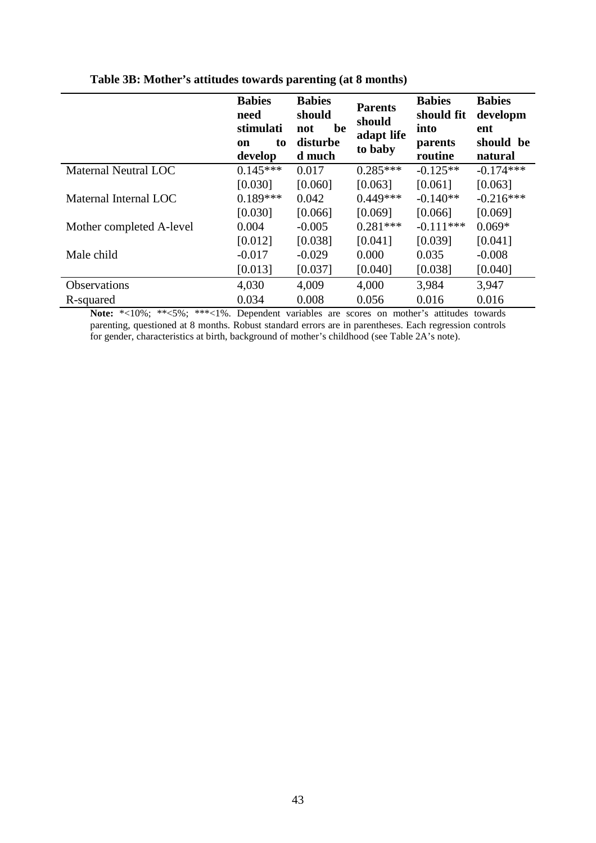|                          | <b>Babies</b><br>need<br>stimulati<br>to<br>on<br>develop | <b>Babies</b><br>should<br>be<br>not<br>disturbe<br>d much | <b>Parents</b><br>should<br>adapt life<br>to baby | <b>Babies</b><br>should fit<br>into<br>parents<br>routine | <b>Babies</b><br>developm<br>ent<br>should be<br>natural |
|--------------------------|-----------------------------------------------------------|------------------------------------------------------------|---------------------------------------------------|-----------------------------------------------------------|----------------------------------------------------------|
| Maternal Neutral LOC     | $0.145***$                                                | 0.017                                                      | $0.285***$                                        | $-0.125**$                                                | $-0.174***$                                              |
|                          | [0.030]                                                   | [0.060]                                                    | [0.063]                                           | [0.061]                                                   | [0.063]                                                  |
| Maternal Internal LOC    | $0.189***$                                                | 0.042                                                      | $0.449***$                                        | $-0.140**$                                                | $-0.216***$                                              |
|                          | [0.030]                                                   | [0.066]                                                    | [0.069]                                           | [0.066]                                                   | [0.069]                                                  |
| Mother completed A-level | 0.004                                                     | $-0.005$                                                   | $0.281***$                                        | $-0.111***$                                               | $0.069*$                                                 |
|                          | [0.012]                                                   | [0.038]                                                    | [0.041]                                           | [0.039]                                                   | [0.041]                                                  |
| Male child               | $-0.017$                                                  | $-0.029$                                                   | 0.000                                             | 0.035                                                     | $-0.008$                                                 |
|                          | [0.013]                                                   | [0.037]                                                    | [0.040]                                           | [0.038]                                                   | [0.040]                                                  |
| Observations             | 4,030                                                     | 4,009                                                      | 4,000                                             | 3,984                                                     | 3,947                                                    |
| R-squared                | 0.034                                                     | 0.008                                                      | 0.056                                             | 0.016                                                     | 0.016                                                    |

### **Table 3B: Mother's attitudes towards parenting (at 8 months)**

**Note:** \*<10%; \*\*<5%; \*\*\*<1%. Dependent variables are scores on mother's attitudes towards parenting, questioned at 8 months. Robust standard errors are in parentheses. Each regression controls for gender, characteristics at birth, background of mother's childhood (see Table 2A's note).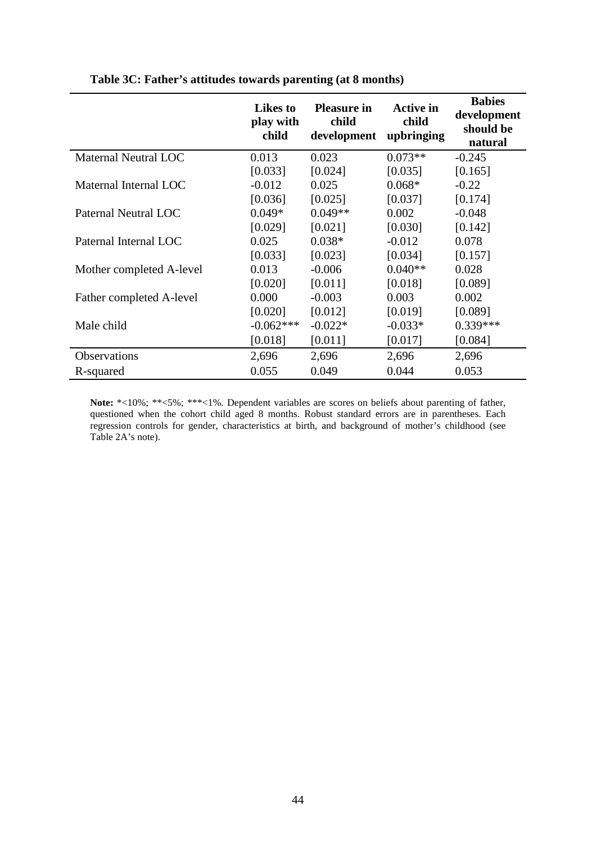|                          | <b>Likes</b> to<br>play with<br>child | <b>Pleasure in</b><br>child<br>development | <b>Active in</b><br>child<br>upbringing | <b>Babies</b><br>development<br>should be<br>natural |
|--------------------------|---------------------------------------|--------------------------------------------|-----------------------------------------|------------------------------------------------------|
| Maternal Neutral LOC     | 0.013                                 | 0.023                                      | $0.073**$                               | $-0.245$                                             |
|                          | [0.033]                               | [0.024]                                    | [0.035]                                 | [0.165]                                              |
| Maternal Internal LOC    | $-0.012$                              | 0.025                                      | $0.068*$                                | $-0.22$                                              |
|                          | [0.036]                               | [0.025]                                    | [0.037]                                 | [0.174]                                              |
| Paternal Neutral LOC     | $0.049*$                              | $0.049**$                                  | 0.002                                   | $-0.048$                                             |
|                          | [0.029]                               | [0.021]                                    | [0.030]                                 | [0.142]                                              |
| Paternal Internal LOC    | 0.025                                 | $0.038*$                                   | $-0.012$                                | 0.078                                                |
|                          | [0.033]                               | [0.023]                                    | [0.034]                                 | [0.157]                                              |
| Mother completed A-level | 0.013                                 | $-0.006$                                   | $0.040**$                               | 0.028                                                |
|                          | [0.020]                               | [0.011]                                    | [0.018]                                 | [0.089]                                              |
| Father completed A-level | 0.000                                 | $-0.003$                                   | 0.003                                   | 0.002                                                |
|                          | [0.020]                               | [0.012]                                    | [0.019]                                 | [0.089]                                              |
| Male child               | $-0.062***$                           | $-0.022*$                                  | $-0.033*$                               | $0.339***$                                           |
|                          | [0.018]                               | [0.011]                                    | [0.017]                                 | [0.084]                                              |
| Observations             | 2,696                                 | 2,696                                      | 2,696                                   | 2,696                                                |
| R-squared                | 0.055                                 | 0.049                                      | 0.044                                   | 0.053                                                |

**Table 3C: Father's attitudes towards parenting (at 8 months)**

**Note:** \*<10%; \*\*<5%; \*\*\*<1%. Dependent variables are scores on beliefs about parenting of father, questioned when the cohort child aged 8 months. Robust standard errors are in parentheses. Each regression controls for gender, characteristics at birth, and background of mother's childhood (see Table 2A's note).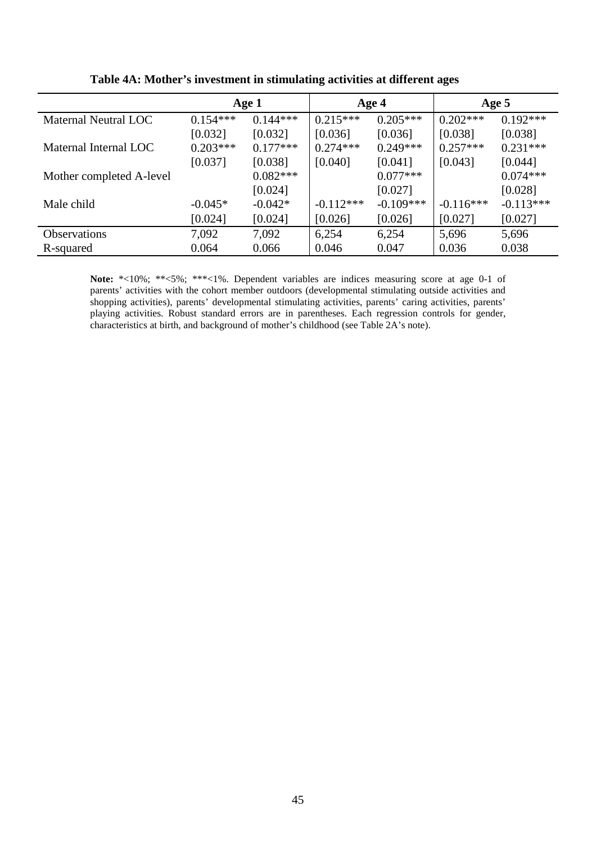|                          |            | Age 1      |             | Age 4       |             | Age 5       |
|--------------------------|------------|------------|-------------|-------------|-------------|-------------|
| Maternal Neutral LOC     | $0.154***$ | $0.144***$ | $0.215***$  | $0.205***$  | $0.202***$  | $0.192***$  |
|                          | [0.032]    | [0.032]    | [0.036]     | [0.036]     | [0.038]     | [0.038]     |
| Maternal Internal LOC    | $0.203***$ | $0.177***$ | $0.274***$  | $0.249***$  | $0.257***$  | $0.231***$  |
|                          | [0.037]    | [0.038]    | [0.040]     | [0.041]     | [0.043]     | [0.044]     |
| Mother completed A-level |            | $0.082***$ |             | $0.077***$  |             | $0.074***$  |
|                          |            | [0.024]    |             | [0.027]     |             | [0.028]     |
| Male child               | $-0.045*$  | $-0.042*$  | $-0.112***$ | $-0.109***$ | $-0.116***$ | $-0.113***$ |
|                          | [0.024]    | [0.024]    | [0.026]     | [0.026]     | [0.027]     | [0.027]     |
| <b>Observations</b>      | 7,092      | 7,092      | 6,254       | 6,254       | 5,696       | 5,696       |
| R-squared                | 0.064      | 0.066      | 0.046       | 0.047       | 0.036       | 0.038       |

**Table 4A: Mother's investment in stimulating activities at different ages**

Note: \*<10%; \*\*<5%; \*\*\*<1%. Dependent variables are indices measuring score at age 0-1 of parents' activities with the cohort member outdoors (developmental stimulating outside activities and shopping activities), parents' developmental stimulating activities, parents' caring activities, parents' playing activities. Robust standard errors are in parentheses. Each regression controls for gender, characteristics at birth, and background of mother's childhood (see Table 2A's note).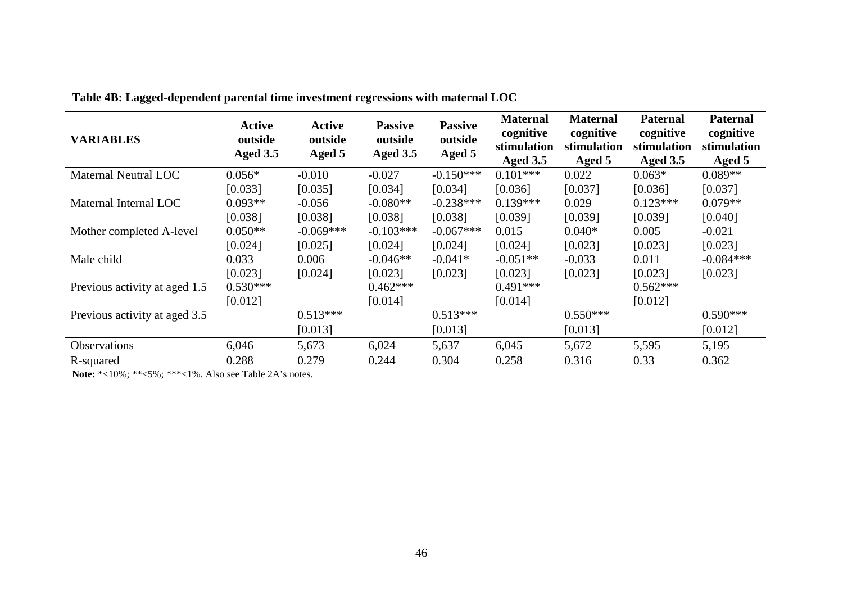| <b>VARIABLES</b>              | <b>Active</b><br>outside<br>Aged 3.5 | <b>Active</b><br>outside<br>Aged 5 | <b>Passive</b><br>outside<br><b>Aged 3.5</b> | <b>Passive</b><br>outside<br>Aged 5 | <b>Maternal</b><br>cognitive<br>stimulation<br><b>Aged 3.5</b> | <b>Maternal</b><br>cognitive<br>stimulation<br>Aged 5 | <b>Paternal</b><br>cognitive<br>stimulation<br><b>Aged 3.5</b> | <b>Paternal</b><br>cognitive<br>stimulation<br>Aged 5 |
|-------------------------------|--------------------------------------|------------------------------------|----------------------------------------------|-------------------------------------|----------------------------------------------------------------|-------------------------------------------------------|----------------------------------------------------------------|-------------------------------------------------------|
| Maternal Neutral LOC          | $0.056*$                             | $-0.010$                           | $-0.027$                                     | $-0.150***$                         | $0.101***$                                                     | 0.022                                                 | $0.063*$                                                       | $0.089**$                                             |
|                               | [0.033]                              | [0.035]                            | [0.034]                                      | [0.034]                             | [0.036]                                                        | [0.037]                                               | [0.036]                                                        | [0.037]                                               |
| Maternal Internal LOC         | $0.093**$                            | $-0.056$                           | $-0.080**$                                   | $-0.238***$                         | $0.139***$                                                     | 0.029                                                 | $0.123***$                                                     | $0.079**$                                             |
|                               | [0.038]                              | [0.038]                            | [0.038]                                      | [0.038]                             | [0.039]                                                        | [0.039]                                               | [0.039]                                                        | [0.040]                                               |
| Mother completed A-level      | $0.050**$                            | $-0.069***$                        | $-0.103***$                                  | $-0.067***$                         | 0.015                                                          | $0.040*$                                              | 0.005                                                          | $-0.021$                                              |
|                               | [0.024]                              | [0.025]                            | [0.024]                                      | [0.024]                             | [0.024]                                                        | [0.023]                                               | [0.023]                                                        | [0.023]                                               |
| Male child                    | 0.033                                | 0.006                              | $-0.046**$                                   | $-0.041*$                           | $-0.051**$                                                     | $-0.033$                                              | 0.011                                                          | $-0.084***$                                           |
|                               | [0.023]                              | [0.024]                            | [0.023]                                      | [0.023]                             | [0.023]                                                        | [0.023]                                               | [0.023]                                                        | [0.023]                                               |
| Previous activity at aged 1.5 | $0.530***$                           |                                    | $0.462***$                                   |                                     | $0.491***$                                                     |                                                       | $0.562***$                                                     |                                                       |
|                               | [0.012]                              |                                    | [0.014]                                      |                                     | [0.014]                                                        |                                                       | [0.012]                                                        |                                                       |
| Previous activity at aged 3.5 |                                      | $0.513***$                         |                                              | $0.513***$                          |                                                                | $0.550***$                                            |                                                                | $0.590***$                                            |
|                               |                                      | [0.013]                            |                                              | [0.013]                             |                                                                | [0.013]                                               |                                                                | [0.012]                                               |
| Observations                  | 6,046                                | 5,673                              | 6,024                                        | 5,637                               | 6,045                                                          | 5,672                                                 | 5,595                                                          | 5,195                                                 |
| R-squared                     | 0.288                                | 0.279                              | 0.244                                        | 0.304                               | 0.258                                                          | 0.316                                                 | 0.33                                                           | 0.362                                                 |

**Table 4B: Lagged-dependent parental time investment regressions with maternal LOC**

**Note:** \*<10%; \*\*<5%; \*\*\*<1%. Also see Table 2A's notes.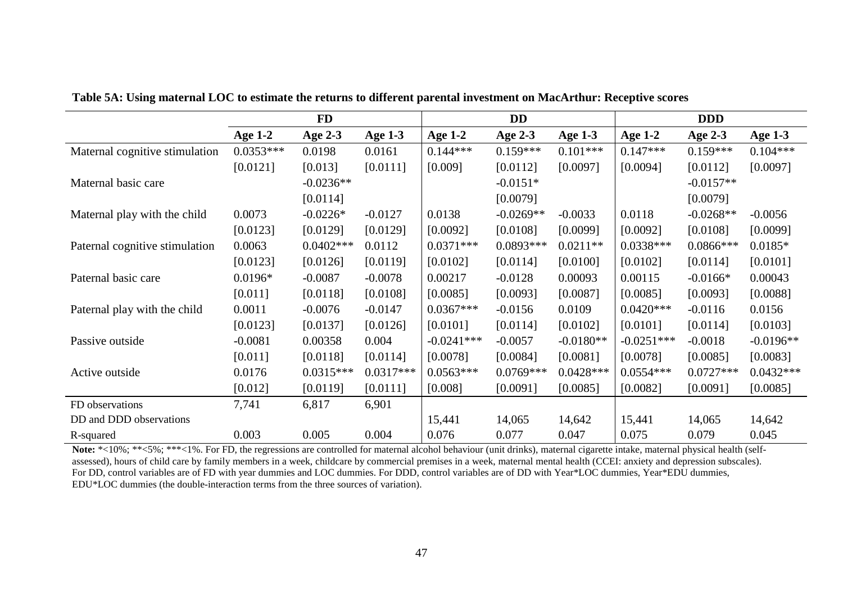|                                |                | <b>FD</b>   |             |                | <b>DD</b>   |             |              | <b>DDD</b>   |                |
|--------------------------------|----------------|-------------|-------------|----------------|-------------|-------------|--------------|--------------|----------------|
|                                | <b>Age 1-2</b> | Age 2-3     | Age $1-3$   | <b>Age 1-2</b> | Age 2-3     | Age $1-3$   | Age $1-2$    | Age 2-3      | <b>Age 1-3</b> |
| Maternal cognitive stimulation | $0.0353***$    | 0.0198      | 0.0161      | $0.144***$     | $0.159***$  | $0.101***$  | $0.147***$   | $0.159***$   | $0.104***$     |
|                                | [0.0121]       | [0.013]     | [0.0111]    | [0.009]        | [0.0112]    | [0.0097]    | [0.0094]     | [0.0112]     | [0.0097]       |
| Maternal basic care            |                | $-0.0236**$ |             |                | $-0.0151*$  |             |              | $-0.0157**$  |                |
|                                |                | [0.0114]    |             |                | [0.0079]    |             |              | [0.0079]     |                |
| Maternal play with the child   | 0.0073         | $-0.0226*$  | $-0.0127$   | 0.0138         | $-0.0269**$ | $-0.0033$   | 0.0118       | $-0.0268**$  | $-0.0056$      |
|                                | [0.0123]       | [0.0129]    | [0.0129]    | [0.0092]       | [0.0108]    | [0.0099]    | [0.0092]     | [0.0108]     | [0.0099]       |
| Paternal cognitive stimulation | 0.0063         | $0.0402***$ | 0.0112      | $0.0371***$    | $0.0893***$ | $0.0211**$  | $0.0338***$  | $0.0866$ *** | $0.0185*$      |
|                                | [0.0123]       | [0.0126]    | [0.0119]    | [0.0102]       | [0.0114]    | [0.0100]    | [0.0102]     | [0.0114]     | [0.0101]       |
| Paternal basic care            | $0.0196*$      | $-0.0087$   | $-0.0078$   | 0.00217        | $-0.0128$   | 0.00093     | 0.00115      | $-0.0166*$   | 0.00043        |
|                                | [0.011]        | [0.0118]    | [0.0108]    | [0.0085]       | [0.0093]    | [0.0087]    | [0.0085]     | [0.0093]     | [0.0088]       |
| Paternal play with the child   | 0.0011         | $-0.0076$   | $-0.0147$   | $0.0367***$    | $-0.0156$   | 0.0109      | $0.0420***$  | $-0.0116$    | 0.0156         |
|                                | [0.0123]       | [0.0137]    | [0.0126]    | [0.0101]       | [0.0114]    | [0.0102]    | [0.0101]     | [0.0114]     | [0.0103]       |
| Passive outside                | $-0.0081$      | 0.00358     | 0.004       | $-0.0241***$   | $-0.0057$   | $-0.0180**$ | $-0.0251***$ | $-0.0018$    | $-0.0196**$    |
|                                | [0.011]        | [0.0118]    | [0.0114]    | [0.0078]       | [0.0084]    | [0.0081]    | [0.0078]     | [0.0085]     | [0.0083]       |
| Active outside                 | 0.0176         | $0.0315***$ | $0.0317***$ | $0.0563***$    | $0.0769***$ | $0.0428***$ | $0.0554***$  | $0.0727***$  | $0.0432***$    |
|                                | [0.012]        | [0.0119]    | [0.0111]    | [0.008]        | [0.0091]    | [0.0085]    | [0.0082]     | [0.0091]     | [0.0085]       |
| FD observations                | 7,741          | 6,817       | 6,901       |                |             |             |              |              |                |
| DD and DDD observations        |                |             |             | 15,441         | 14,065      | 14,642      | 15,441       | 14,065       | 14,642         |
| R-squared                      | 0.003          | 0.005       | 0.004       | 0.076          | 0.077       | 0.047       | 0.075        | 0.079        | 0.045          |

**Table 5A: Using maternal LOC to estimate the returns to different parental investment on MacArthur: Receptive scores**

Note: \*<10%; \*\*<5%; \*\*\*<1%. For FD, the regressions are controlled for maternal alcohol behaviour (unit drinks), maternal cigarette intake, maternal physical health (selfassessed), hours of child care by family members in a week, childcare by commercial premises in a week, maternal mental health (CCEI: anxiety and depression subscales). For DD, control variables are of FD with year dummies and LOC dummies. For DDD, control variables are of DD with Year\*LOC dummies, Year\*EDU dummies, EDU\*LOC dummies (the double-interaction terms from the three sources of variation).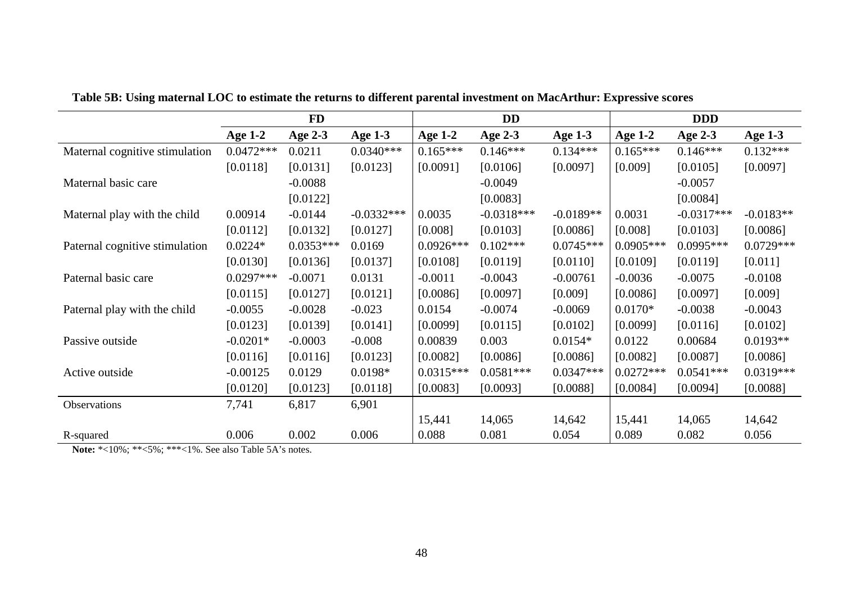|                                |                | <b>FD</b>   |              |                | <b>DD</b>    |             |                | <b>DDD</b>   |             |
|--------------------------------|----------------|-------------|--------------|----------------|--------------|-------------|----------------|--------------|-------------|
|                                | <b>Age 1-2</b> | Age 2-3     | Age $1-3$    | <b>Age 1-2</b> | Age 2-3      | Age 1-3     | <b>Age 1-2</b> | Age 2-3      | Age 1-3     |
| Maternal cognitive stimulation | $0.0472***$    | 0.0211      | $0.0340***$  | $0.165***$     | $0.146***$   | $0.134***$  | $0.165***$     | $0.146***$   | $0.132***$  |
|                                | [0.0118]       | [0.0131]    | [0.0123]     | [0.0091]       | [0.0106]     | [0.0097]    | [0.009]        | [0.0105]     | [0.0097]    |
| Maternal basic care            |                | $-0.0088$   |              |                | $-0.0049$    |             |                | $-0.0057$    |             |
|                                |                | [0.0122]    |              |                | [0.0083]     |             |                | [0.0084]     |             |
| Maternal play with the child   | 0.00914        | $-0.0144$   | $-0.0332***$ | 0.0035         | $-0.0318***$ | $-0.0189**$ | 0.0031         | $-0.0317***$ | $-0.0183**$ |
|                                | [0.0112]       | [0.0132]    | [0.0127]     | [0.008]        | [0.0103]     | [0.0086]    | [0.008]        | [0.0103]     | [0.0086]    |
| Paternal cognitive stimulation | $0.0224*$      | $0.0353***$ | 0.0169       | $0.0926***$    | $0.102***$   | $0.0745***$ | $0.0905***$    | $0.0995***$  | $0.0729***$ |
|                                | [0.0130]       | [0.0136]    | [0.0137]     | [0.0108]       | [0.0119]     | [0.0110]    | [0.0109]       | [0.0119]     | [0.011]     |
| Paternal basic care            | $0.0297***$    | $-0.0071$   | 0.0131       | $-0.0011$      | $-0.0043$    | $-0.00761$  | $-0.0036$      | $-0.0075$    | $-0.0108$   |
|                                | [0.0115]       | [0.0127]    | [0.0121]     | [0.0086]       | [0.0097]     | [0.009]     | [0.0086]       | [0.0097]     | [0.009]     |
| Paternal play with the child   | $-0.0055$      | $-0.0028$   | $-0.023$     | 0.0154         | $-0.0074$    | $-0.0069$   | $0.0170*$      | $-0.0038$    | $-0.0043$   |
|                                | [0.0123]       | [0.0139]    | [0.0141]     | [0.0099]       | [0.0115]     | [0.0102]    | [0.0099]       | [0.0116]     | [0.0102]    |
| Passive outside                | $-0.0201*$     | $-0.0003$   | $-0.008$     | 0.00839        | 0.003        | $0.0154*$   | 0.0122         | 0.00684      | $0.0193**$  |
|                                | [0.0116]       | [0.0116]    | [0.0123]     | [0.0082]       | [0.0086]     | [0.0086]    | [0.0082]       | [0.0087]     | [0.0086]    |
| Active outside                 | $-0.00125$     | 0.0129      | $0.0198*$    | $0.0315***$    | $0.0581***$  | $0.0347***$ | $0.0272***$    | $0.0541***$  | $0.0319***$ |
|                                | [0.0120]       | [0.0123]    | [0.0118]     | [0.0083]       | [0.0093]     | [0.0088]    | [0.0084]       | [0.0094]     | [0.0088]    |
| Observations                   | 7,741          | 6,817       | 6,901        |                |              |             |                |              |             |
|                                |                |             |              | 15,441         | 14,065       | 14,642      | 15,441         | 14,065       | 14,642      |
| R-squared                      | 0.006          | 0.002       | 0.006        | 0.088          | 0.081        | 0.054       | 0.089          | 0.082        | 0.056       |

**Table 5B: Using maternal LOC to estimate the returns to different parental investment on MacArthur: Expressive scores**

**Note:** \*<10%; \*\*<5%; \*\*\*<1%. See also Table 5A's notes.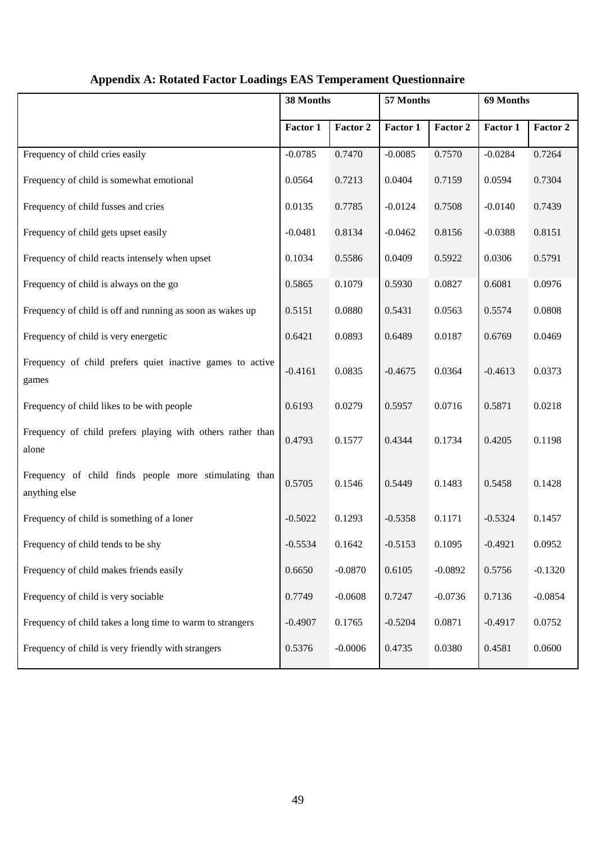|                                                                        | 38 Months |           | 57 Months |           | 69 Months |           |
|------------------------------------------------------------------------|-----------|-----------|-----------|-----------|-----------|-----------|
|                                                                        | Factor 1  | Factor 2  | Factor 1  | Factor 2  | Factor 1  | Factor 2  |
| Frequency of child cries easily                                        | $-0.0785$ | 0.7470    | $-0.0085$ | 0.7570    | $-0.0284$ | 0.7264    |
| Frequency of child is somewhat emotional                               | 0.0564    | 0.7213    | 0.0404    | 0.7159    | 0.0594    | 0.7304    |
| Frequency of child fusses and cries                                    | 0.0135    | 0.7785    | $-0.0124$ | 0.7508    | $-0.0140$ | 0.7439    |
| Frequency of child gets upset easily                                   | $-0.0481$ | 0.8134    | $-0.0462$ | 0.8156    | $-0.0388$ | 0.8151    |
| Frequency of child reacts intensely when upset                         | 0.1034    | 0.5586    | 0.0409    | 0.5922    | 0.0306    | 0.5791    |
| Frequency of child is always on the go                                 | 0.5865    | 0.1079    | 0.5930    | 0.0827    | 0.6081    | 0.0976    |
| Frequency of child is off and running as soon as wakes up              | 0.5151    | 0.0880    | 0.5431    | 0.0563    | 0.5574    | 0.0808    |
| Frequency of child is very energetic                                   | 0.6421    | 0.0893    | 0.6489    | 0.0187    | 0.6769    | 0.0469    |
| Frequency of child prefers quiet inactive games to active<br>games     | $-0.4161$ | 0.0835    | $-0.4675$ | 0.0364    | $-0.4613$ | 0.0373    |
| Frequency of child likes to be with people                             | 0.6193    | 0.0279    | 0.5957    | 0.0716    | 0.5871    | 0.0218    |
| Frequency of child prefers playing with others rather than<br>alone    | 0.4793    | 0.1577    | 0.4344    | 0.1734    | 0.4205    | 0.1198    |
| Frequency of child finds people more stimulating than<br>anything else | 0.5705    | 0.1546    | 0.5449    | 0.1483    | 0.5458    | 0.1428    |
| Frequency of child is something of a loner                             | $-0.5022$ | 0.1293    | $-0.5358$ | 0.1171    | $-0.5324$ | 0.1457    |
| Frequency of child tends to be shy                                     | $-0.5534$ | 0.1642    | $-0.5153$ | 0.1095    | $-0.4921$ | 0.0952    |
| Frequency of child makes friends easily                                | 0.6650    | $-0.0870$ | 0.6105    | $-0.0892$ | 0.5756    | $-0.1320$ |
| Frequency of child is very sociable                                    | 0.7749    | $-0.0608$ | 0.7247    | $-0.0736$ | 0.7136    | $-0.0854$ |
| Frequency of child takes a long time to warm to strangers              | $-0.4907$ | 0.1765    | $-0.5204$ | 0.0871    | $-0.4917$ | 0.0752    |
| Frequency of child is very friendly with strangers                     | 0.5376    | $-0.0006$ | 0.4735    | 0.0380    | 0.4581    | 0.0600    |

## **Appendix A: Rotated Factor Loadings EAS Temperament Questionnaire**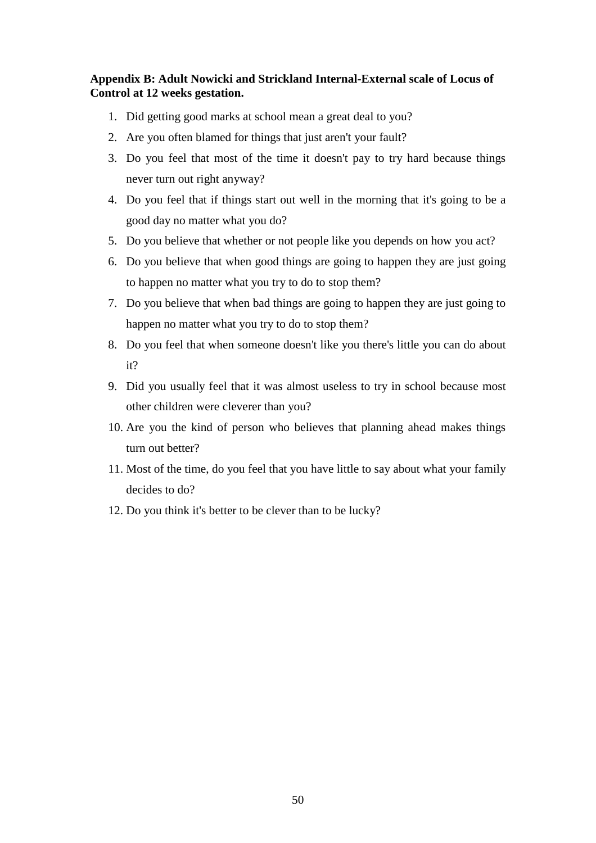### **Appendix B: Adult Nowicki and Strickland Internal-External scale of Locus of Control at 12 weeks gestation.**

- 1. Did getting good marks at school mean a great deal to you?
- 2. Are you often blamed for things that just aren't your fault?
- 3. Do you feel that most of the time it doesn't pay to try hard because things never turn out right anyway?
- 4. Do you feel that if things start out well in the morning that it's going to be a good day no matter what you do?
- 5. Do you believe that whether or not people like you depends on how you act?
- 6. Do you believe that when good things are going to happen they are just going to happen no matter what you try to do to stop them?
- 7. Do you believe that when bad things are going to happen they are just going to happen no matter what you try to do to stop them?
- 8. Do you feel that when someone doesn't like you there's little you can do about it?
- 9. Did you usually feel that it was almost useless to try in school because most other children were cleverer than you?
- 10. Are you the kind of person who believes that planning ahead makes things turn out better?
- 11. Most of the time, do you feel that you have little to say about what your family decides to do?
- 12. Do you think it's better to be clever than to be lucky?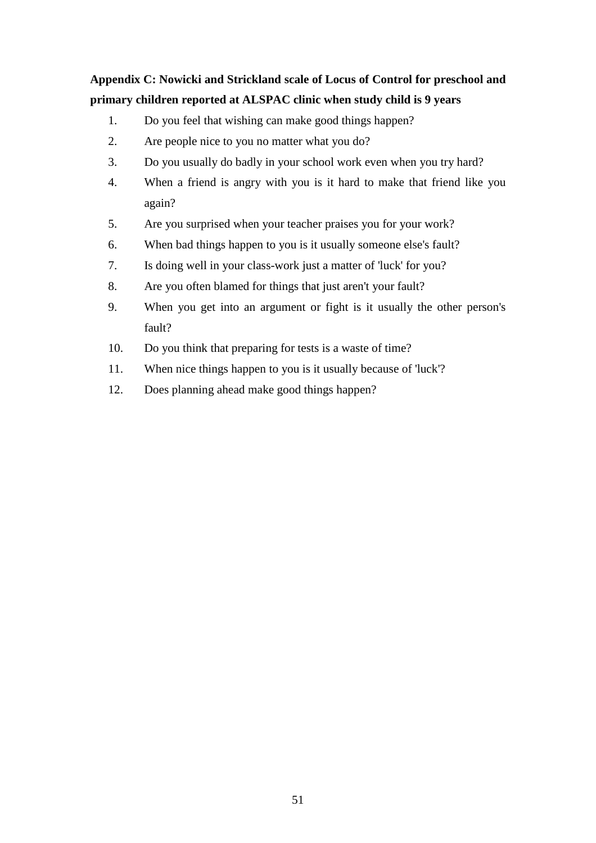## **Appendix C: Nowicki and Strickland scale of Locus of Control for preschool and primary children reported at ALSPAC clinic when study child is 9 years**

- 1. Do you feel that wishing can make good things happen?
- 2. Are people nice to you no matter what you do?
- 3. Do you usually do badly in your school work even when you try hard?
- 4. When a friend is angry with you is it hard to make that friend like you again?
- 5. Are you surprised when your teacher praises you for your work?
- 6. When bad things happen to you is it usually someone else's fault?
- 7. Is doing well in your class-work just a matter of 'luck' for you?
- 8. Are you often blamed for things that just aren't your fault?
- 9. When you get into an argument or fight is it usually the other person's fault?
- 10. Do you think that preparing for tests is a waste of time?
- 11. When nice things happen to you is it usually because of 'luck'?
- 12. Does planning ahead make good things happen?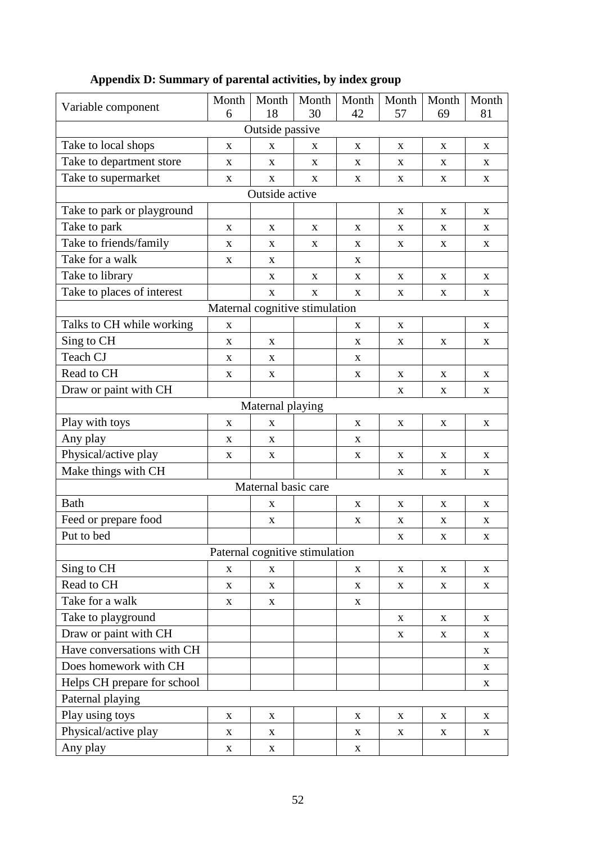| Variable component          | Month       | Month                          | Month       | Month       | Month       | Month       | Month       |  |  |  |
|-----------------------------|-------------|--------------------------------|-------------|-------------|-------------|-------------|-------------|--|--|--|
|                             | 6           | 18                             | 30          | 42          | 57          | 69          | 81          |  |  |  |
| Outside passive             |             |                                |             |             |             |             |             |  |  |  |
| Take to local shops         | X           | X                              | X           | X           | X           | X           | $\mathbf X$ |  |  |  |
| Take to department store    | X           | X                              | X           | X           | X           | X           | X           |  |  |  |
| Take to supermarket         | X           | $\mathbf X$                    | X           | X           | X           | $\mathbf X$ | $\mathbf X$ |  |  |  |
| Outside active              |             |                                |             |             |             |             |             |  |  |  |
| Take to park or playground  |             |                                |             |             | X           | X           | $\mathbf X$ |  |  |  |
| Take to park                | X           | X                              | X           | X           | X           | X           | $\mathbf X$ |  |  |  |
| Take to friends/family      | X           | X                              | X           | X           | $\mathbf X$ | X           | $\mathbf X$ |  |  |  |
| Take for a walk             | X           | X                              |             | X           |             |             |             |  |  |  |
| Take to library             |             | $\mathbf X$                    | $\mathbf X$ | X           | $\mathbf X$ | $\mathbf X$ | $\mathbf X$ |  |  |  |
| Take to places of interest  |             | X                              | X           | X           | X           | X           | $\mathbf X$ |  |  |  |
|                             |             | Maternal cognitive stimulation |             |             |             |             |             |  |  |  |
| Talks to CH while working   | X           |                                |             | X           | X           |             | $\mathbf X$ |  |  |  |
| Sing to CH                  | X           | X                              |             | X           | X           | X           | $\mathbf X$ |  |  |  |
| Teach CJ                    | X           | $\mathbf X$                    |             | X           |             |             |             |  |  |  |
| Read to CH                  | X           | $\mathbf X$                    |             | X           | $\mathbf X$ | X           | $\mathbf X$ |  |  |  |
| Draw or paint with CH       |             |                                |             |             | $\mathbf X$ | X           | $\mathbf X$ |  |  |  |
|                             |             | Maternal playing               |             |             |             |             |             |  |  |  |
| Play with toys              | X           | X                              |             | X           | X           | X           | $\mathbf X$ |  |  |  |
| Any play                    | X           | X                              |             | X           |             |             |             |  |  |  |
| Physical/active play        | X           | $\mathbf X$                    |             | X           | X           | X           | $\mathbf X$ |  |  |  |
| Make things with CH         |             |                                |             |             | $\mathbf X$ | X           | $\mathbf X$ |  |  |  |
|                             |             | Maternal basic care            |             |             |             |             |             |  |  |  |
| <b>Bath</b>                 |             | X                              |             | X           | $\mathbf X$ | X           | $\mathbf X$ |  |  |  |
| Feed or prepare food        |             | X                              |             | X           | X           | X           | X           |  |  |  |
| Put to bed                  |             |                                |             |             | X           | X           | $\mathbf X$ |  |  |  |
|                             |             | Paternal cognitive stimulation |             |             |             |             |             |  |  |  |
| Sing to CH                  | X           | X                              |             | X           | X           | X           | X           |  |  |  |
| Read to CH                  | X           | X                              |             | X           | X           | $\mathbf X$ | $\mathbf X$ |  |  |  |
| Take for a walk             | $\mathbf X$ | X                              |             | $\mathbf X$ |             |             |             |  |  |  |
| Take to playground          |             |                                |             |             | X           | X           | $\mathbf X$ |  |  |  |
| Draw or paint with CH       |             |                                |             |             | X           | X           | $\mathbf X$ |  |  |  |
| Have conversations with CH  |             |                                |             |             |             |             | $\mathbf X$ |  |  |  |
| Does homework with CH       |             |                                |             |             |             |             | X           |  |  |  |
| Helps CH prepare for school |             |                                |             |             |             |             | $\mathbf X$ |  |  |  |
| Paternal playing            |             |                                |             |             |             |             |             |  |  |  |
| Play using toys             | $\mathbf X$ | $\mathbf X$                    |             | X           | $\mathbf X$ | X           | $\mathbf X$ |  |  |  |
| Physical/active play        | X           | $\mathbf X$                    |             | X           | X           | X           | X           |  |  |  |
| Any play                    | X           | X                              |             | $\mathbf X$ |             |             |             |  |  |  |
|                             |             |                                |             |             |             |             |             |  |  |  |

## **Appendix D: Summary of parental activities, by index group**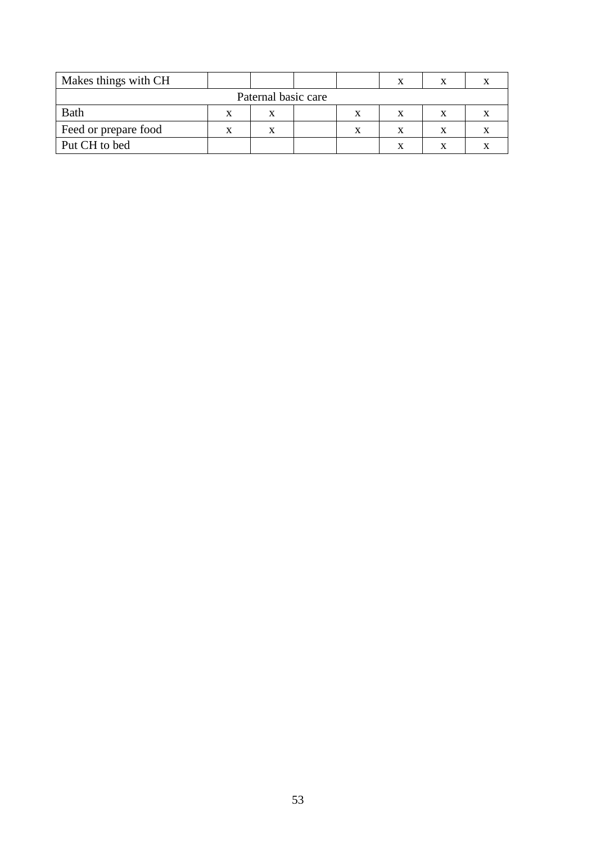| Makes things with CH |  |  |  |  |  |  |  |  |  |
|----------------------|--|--|--|--|--|--|--|--|--|
| Paternal basic care  |  |  |  |  |  |  |  |  |  |
| <b>Bath</b>          |  |  |  |  |  |  |  |  |  |
| Feed or prepare food |  |  |  |  |  |  |  |  |  |
| Put CH to bed        |  |  |  |  |  |  |  |  |  |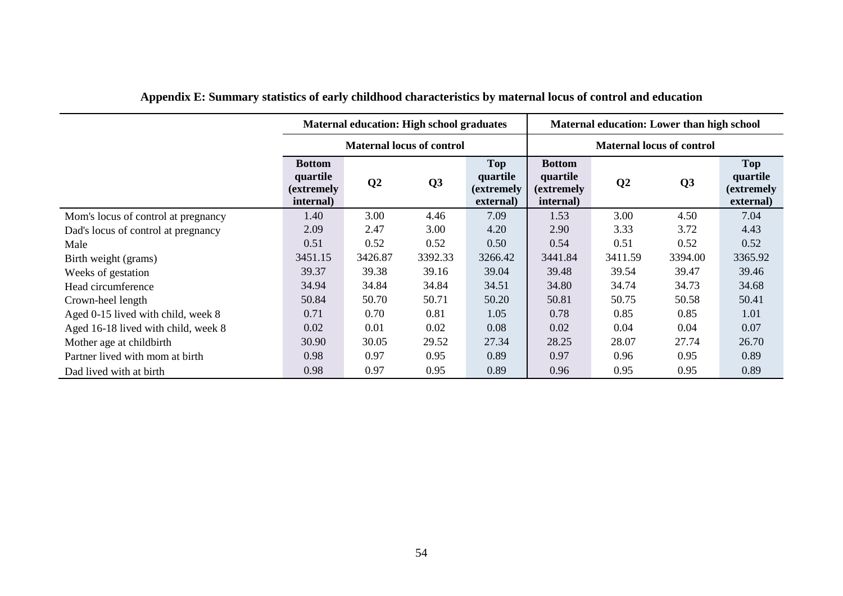|                                     |                                                      | <b>Maternal education: High school graduates</b> |         |                                                   | Maternal education: Lower than high school           |         |                |                                                           |  |
|-------------------------------------|------------------------------------------------------|--------------------------------------------------|---------|---------------------------------------------------|------------------------------------------------------|---------|----------------|-----------------------------------------------------------|--|
|                                     |                                                      | <b>Maternal locus of control</b>                 |         |                                                   | <b>Maternal locus of control</b>                     |         |                |                                                           |  |
|                                     | <b>Bottom</b><br>quartile<br>(extremely<br>internal) | Q <sub>2</sub>                                   | Q3      | <b>Top</b><br>quartile<br>(extremely<br>external) | <b>Bottom</b><br>quartile<br>(extremely<br>internal) | Q2      | Q <sub>3</sub> | <b>Top</b><br>quartile<br><i>(extremely)</i><br>external) |  |
| Mom's locus of control at pregnancy | 1.40                                                 | 3.00                                             | 4.46    | 7.09                                              | 1.53                                                 | 3.00    | 4.50           | 7.04                                                      |  |
| Dad's locus of control at pregnancy | 2.09                                                 | 2.47                                             | 3.00    | 4.20                                              | 2.90                                                 | 3.33    | 3.72           | 4.43                                                      |  |
| Male                                | 0.51                                                 | 0.52                                             | 0.52    | 0.50                                              | 0.54                                                 | 0.51    | 0.52           | 0.52                                                      |  |
| Birth weight (grams)                | 3451.15                                              | 3426.87                                          | 3392.33 | 3266.42                                           | 3441.84                                              | 3411.59 | 3394.00        | 3365.92                                                   |  |
| Weeks of gestation                  | 39.37                                                | 39.38                                            | 39.16   | 39.04                                             | 39.48                                                | 39.54   | 39.47          | 39.46                                                     |  |
| Head circumference                  | 34.94                                                | 34.84                                            | 34.84   | 34.51                                             | 34.80                                                | 34.74   | 34.73          | 34.68                                                     |  |
| Crown-heel length                   | 50.84                                                | 50.70                                            | 50.71   | 50.20                                             | 50.81                                                | 50.75   | 50.58          | 50.41                                                     |  |
| Aged 0-15 lived with child, week 8  | 0.71                                                 | 0.70                                             | 0.81    | 1.05                                              | 0.78                                                 | 0.85    | 0.85           | 1.01                                                      |  |
| Aged 16-18 lived with child, week 8 | 0.02                                                 | 0.01                                             | 0.02    | 0.08                                              | 0.02                                                 | 0.04    | 0.04           | 0.07                                                      |  |
| Mother age at childbirth            | 30.90                                                | 30.05                                            | 29.52   | 27.34                                             | 28.25                                                | 28.07   | 27.74          | 26.70                                                     |  |
| Partner lived with mom at birth     | 0.98                                                 | 0.97                                             | 0.95    | 0.89                                              | 0.97                                                 | 0.96    | 0.95           | 0.89                                                      |  |
| Dad lived with at birth             | 0.98                                                 | 0.97                                             | 0.95    | 0.89                                              | 0.96                                                 | 0.95    | 0.95           | 0.89                                                      |  |

## **Appendix E: Summary statistics of early childhood characteristics by maternal locus of control and education**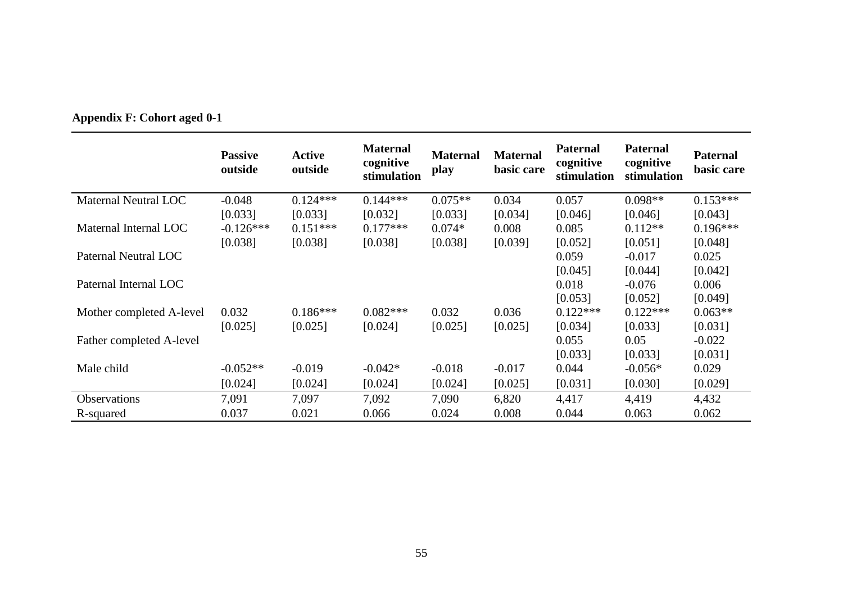|                          | <b>Passive</b><br>outside | <b>Active</b><br>outside | <b>Maternal</b><br>cognitive<br>stimulation | <b>Maternal</b><br>play | <b>Maternal</b><br>basic care | <b>Paternal</b><br>cognitive<br>stimulation | <b>Paternal</b><br>cognitive<br>stimulation | <b>Paternal</b><br>basic care |
|--------------------------|---------------------------|--------------------------|---------------------------------------------|-------------------------|-------------------------------|---------------------------------------------|---------------------------------------------|-------------------------------|
| Maternal Neutral LOC     | $-0.048$                  | $0.124***$               | $0.144***$                                  | $0.075**$               | 0.034                         | 0.057                                       | $0.098**$                                   | $0.153***$                    |
|                          | [0.033]                   | [0.033]                  | [0.032]                                     | [0.033]                 | [0.034]                       | [0.046]                                     | [0.046]                                     | [0.043]                       |
| Maternal Internal LOC    | $-0.126***$               | $0.151***$               | $0.177***$                                  | $0.074*$                | 0.008                         | 0.085                                       | $0.112**$                                   | $0.196***$                    |
|                          | [0.038]                   | [0.038]                  | [0.038]                                     | [0.038]                 | [0.039]                       | [0.052]                                     | [0.051]                                     | [0.048]                       |
| Paternal Neutral LOC     |                           |                          |                                             |                         |                               | 0.059                                       | $-0.017$                                    | 0.025                         |
|                          |                           |                          |                                             |                         |                               | [0.045]                                     | [0.044]                                     | [0.042]                       |
| Paternal Internal LOC    |                           |                          |                                             |                         |                               | 0.018                                       | $-0.076$                                    | 0.006                         |
|                          |                           |                          |                                             |                         |                               | [0.053]                                     | [0.052]                                     | [0.049]                       |
| Mother completed A-level | 0.032                     | $0.186***$               | $0.082***$                                  | 0.032                   | 0.036                         | $0.122***$                                  | $0.122***$                                  | $0.063**$                     |
|                          | [0.025]                   | [0.025]                  | [0.024]                                     | [0.025]                 | [0.025]                       | [0.034]                                     | [0.033]                                     | [0.031]                       |
| Father completed A-level |                           |                          |                                             |                         |                               | 0.055                                       | 0.05                                        | $-0.022$                      |
|                          |                           |                          |                                             |                         |                               | [0.033]                                     | [0.033]                                     | [0.031]                       |
| Male child               | $-0.052**$                | $-0.019$                 | $-0.042*$                                   | $-0.018$                | $-0.017$                      | 0.044                                       | $-0.056*$                                   | 0.029                         |
|                          | [0.024]                   | [0.024]                  | [0.024]                                     | [0.024]                 | [0.025]                       | [0.031]                                     | [0.030]                                     | [0.029]                       |
| <b>Observations</b>      | 7,091                     | 7,097                    | 7,092                                       | 7,090                   | 6,820                         | 4,417                                       | 4,419                                       | 4,432                         |
| R-squared                | 0.037                     | 0.021                    | 0.066                                       | 0.024                   | 0.008                         | 0.044                                       | 0.063                                       | 0.062                         |

## **Appendix F: Cohort aged 0-1**